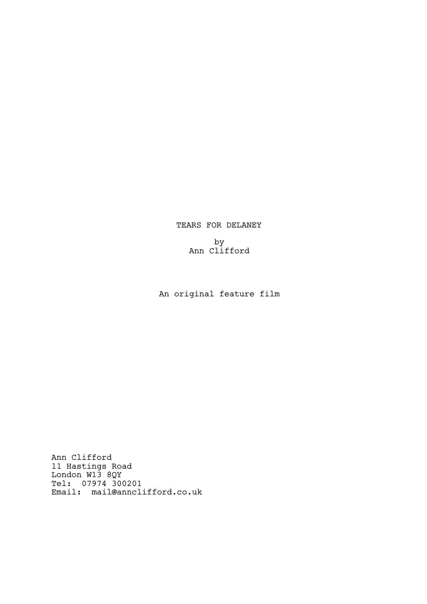# TEARS FOR DELANEY

by Ann Clifford

An original feature film

Ann Clifford 11 Hastings Road London W13 8QY Tel: 07974 300201 Email: mail@annclifford.co.uk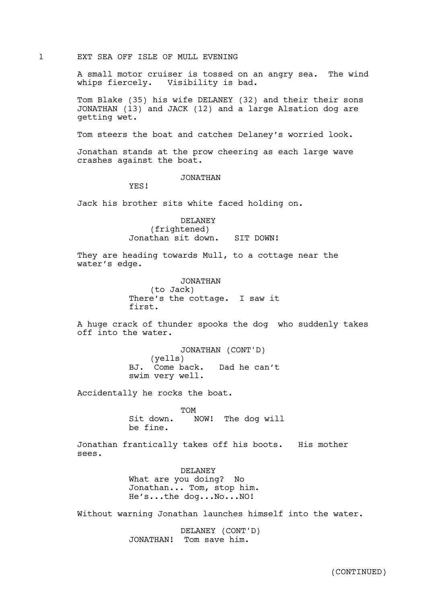1 EXT SEA OFF ISLE OF MULL EVENING

A small motor cruiser is tossed on an angry sea. The wind whips fiercely. Visibility is bad.

Tom Blake (35) his wife DELANEY (32) and their their sons JONATHAN (13) and JACK (12) and a large Alsation dog are getting wet.

Tom steers the boat and catches Delaney's worried look.

Jonathan stands at the prow cheering as each large wave crashes against the boat.

JONATHAN

YES!

Jack his brother sits white faced holding on.

DELANEY (frightened) Jonathan sit down. SIT DOWN!

They are heading towards Mull, to a cottage near the water's edge.

> JONATHAN (to Jack) There's the cottage. I saw it first.

A huge crack of thunder spooks the dog who suddenly takes off into the water.

> JONATHAN (CONT'D) (yells) BJ. Come back. Dad he can't swim very well.

Accidentally he rocks the boat.

TOM Sit down. NOW! The dog will be fine.

Jonathan frantically takes off his boots. His mother sees.

> DELANEY What are you doing? No Jonathan... Tom, stop him. He's...the dog...No...NO!

Without warning Jonathan launches himself into the water.

DELANEY (CONT'D) JONATHAN! Tom save him.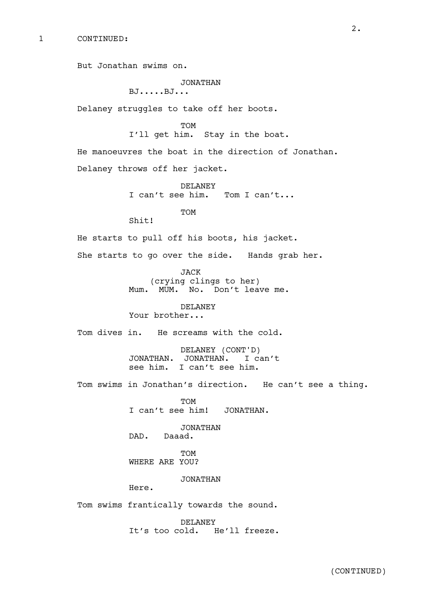But Jonathan swims on.

# JONATHAN

```
BJ.....BJ...
```
Delaney struggles to take off her boots.

TOM

I'll get him. Stay in the boat.

He manoeuvres the boat in the direction of Jonathan. Delaney throws off her jacket.

> DELANEY I can't see him. Tom I can't...

> > **TOM**

Shit!

He starts to pull off his boots, his jacket.

She starts to go over the side. Hands grab her.

JACK (crying clings to her) Mum. MUM. No. Don't leave me.

DELANEY Your brother...

Tom dives in. He screams with the cold.

DELANEY (CONT'D) JONATHAN. JONATHAN. I can't see him. I can't see him.

Tom swims in Jonathan's direction. He can't see a thing.

TOM I can't see him! JONATHAN.

JONATHAN DAD. Daaad.

TOM WHERE ARE YOU?

JONATHAN

Here.

Tom swims frantically towards the sound.

DELANEY It's too cold. He'll freeze.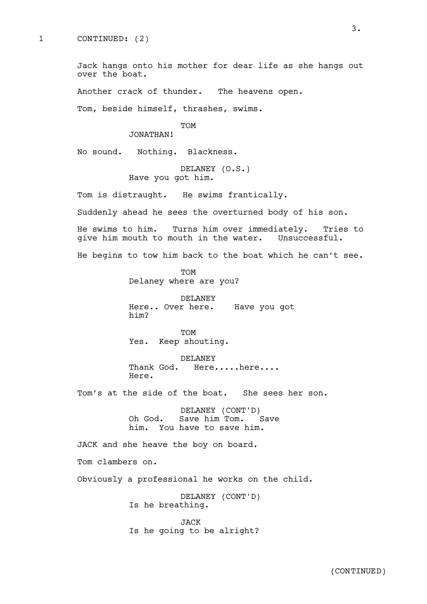Jack hangs onto his mother for dear life as she hangs out over the boat.

Another crack of thunder. The heavens open.

Tom, beside himself, thrashes, swims.

# TOM

JONATHAN!

No sound. Nothing. Blackness.

DELANEY (O.S.) Have you got him.

Tom is distraught. He swims frantically.

Suddenly ahead he sees the overturned body of his son.

He swims to him. Turns him over immediately. Tries to give him mouth to mouth in the water. Unsuccessful.

He begins to tow him back to the boat which he can't see.

TOM Delaney where are you?

DELANEY Here.. Over here. Have you got him?

TOM Yes. Keep shouting.

DELANEY Thank God. Here.....here.... Here.

Tom's at the side of the boat. She sees her son.

DELANEY (CONT'D) Oh God. Save him Tom. Save him. You have to save him.

JACK and she heave the boy on board.

Tom clambers on.

Obviously a professional he works on the child.

DELANEY (CONT'D) Is he breathing.

JACK Is he going to be alright?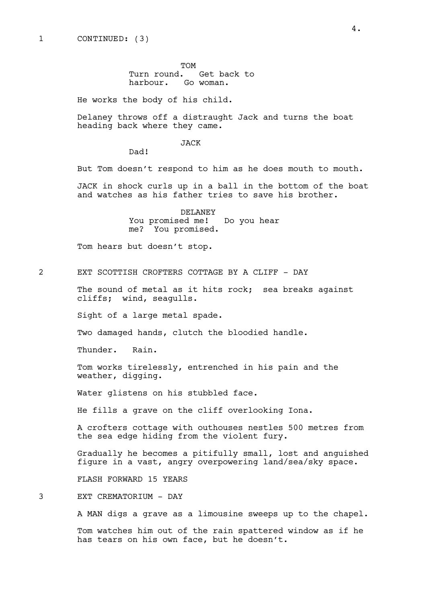TOM Turn round. Get back to harbour. Go woman.

He works the body of his child.

Delaney throws off a distraught Jack and turns the boat heading back where they came.

JACK

Dad!

But Tom doesn't respond to him as he does mouth to mouth.

JACK in shock curls up in a ball in the bottom of the boat and watches as his father tries to save his brother.

> DELANEY You promised me! Do you hear me? You promised.

Tom hears but doesn't stop.

2 EXT SCOTTISH CROFTERS COTTAGE BY A CLIFF - DAY

The sound of metal as it hits rock; sea breaks against cliffs; wind, seagulls.

Sight of a large metal spade.

Two damaged hands, clutch the bloodied handle.

Thunder. Rain.

Tom works tirelessly, entrenched in his pain and the weather, digging.

Water glistens on his stubbled face.

He fills a grave on the cliff overlooking Iona.

A crofters cottage with outhouses nestles 500 metres from the sea edge hiding from the violent fury.

Gradually he becomes a pitifully small, lost and anguished figure in a vast, angry overpowering land/sea/sky space.

FLASH FORWARD 15 YEARS

3 EXT CREMATORIUM - DAY

A MAN digs a grave as a limousine sweeps up to the chapel.

Tom watches him out of the rain spattered window as if he has tears on his own face, but he doesn't.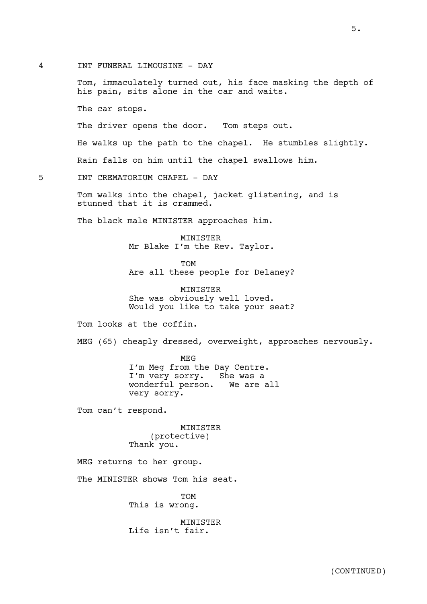4 INT FUNERAL LIMOUSINE - DAY

Tom, immaculately turned out, his face masking the depth of his pain, sits alone in the car and waits.

The car stops.

The driver opens the door. Tom steps out.

He walks up the path to the chapel. He stumbles slightly.

Rain falls on him until the chapel swallows him.

5 INT CREMATORIUM CHAPEL - DAY

Tom walks into the chapel, jacket glistening, and is stunned that it is crammed.

The black male MINISTER approaches him.

MINISTER Mr Blake I'm the Rev. Taylor.

TOM Are all these people for Delaney?

MINISTER She was obviously well loved. Would you like to take your seat?

Tom looks at the coffin.

MEG (65) cheaply dressed, overweight, approaches nervously.

MEG I'm Meg from the Day Centre. I'm very sorry. She was a wonderful person. We are all very sorry.

Tom can't respond.

MINISTER (protective) Thank you.

MEG returns to her group.

The MINISTER shows Tom his seat.

TOM This is wrong.

MINISTER Life isn't fair.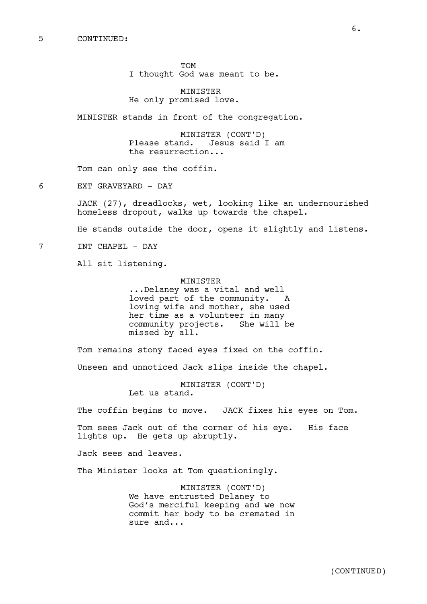TOM I thought God was meant to be.

MINISTER He only promised love.

MINISTER stands in front of the congregation.

MINISTER (CONT'D) Please stand. Jesus said I am the resurrection...

Tom can only see the coffin.

6 EXT GRAVEYARD - DAY

JACK (27), dreadlocks, wet, looking like an undernourished homeless dropout, walks up towards the chapel.

He stands outside the door, opens it slightly and listens.

7 INT CHAPEL - DAY

All sit listening.

MINISTER ...Delaney was a vital and well loved part of the community. A loving wife and mother, she used her time as a volunteer in many community projects. She will be missed by all.

Tom remains stony faced eyes fixed on the coffin.

Unseen and unnoticed Jack slips inside the chapel.

MINISTER (CONT'D) Let us stand.

The coffin begins to move. JACK fixes his eyes on Tom.

Tom sees Jack out of the corner of his eye. His face lights up. He gets up abruptly.

Jack sees and leaves.

The Minister looks at Tom questioningly.

MINISTER (CONT'D) We have entrusted Delaney to God's merciful keeping and we now commit her body to be cremated in sure and...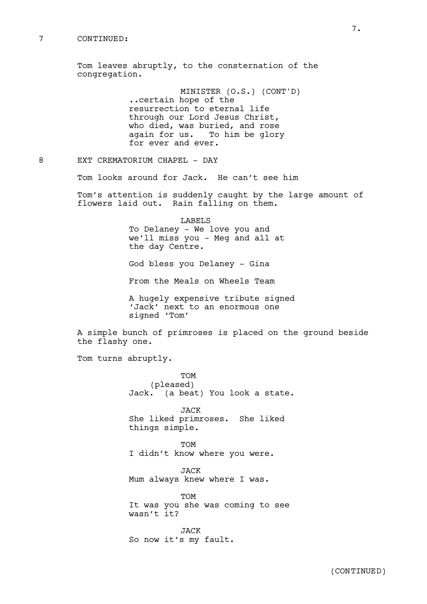#### 7 CONTINUED:

Tom leaves abruptly, to the consternation of the congregation.

> MINISTER (O.S.) (CONT'D) ..certain hope of the resurrection to eternal life through our Lord Jesus Christ, who died, was buried, and rose again for us. To him be glory for ever and ever.

8 EXT CREMATORIUM CHAPEL - DAY

Tom looks around for Jack. He can't see him

Tom's attention is suddenly caught by the large amount of flowers laid out. Rain falling on them.

> LABELS To Delaney - We love you and we'll miss you - Meg and all at the day Centre.

God bless you Delaney - Gina

From the Meals on Wheels Team

A hugely expensive tribute signed 'Jack' next to an enormous one signed 'Tom'

A simple bunch of primroses is placed on the ground beside the flashy one.

Tom turns abruptly.

TOM (pleased) Jack. (a beat) You look a state.

JACK She liked primroses. She liked things simple.

TOM I didn't know where you were.

JACK Mum always knew where I was.

TOM It was you she was coming to see wasn't it?

JACK So now it's my fault.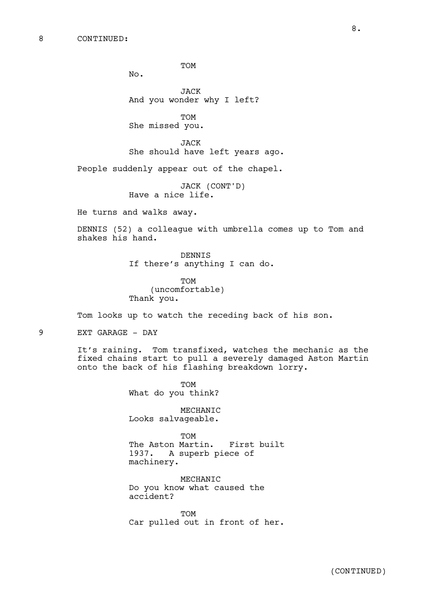TOM

No.

JACK And you wonder why I left?

TOM She missed you.

JACK She should have left years ago.

People suddenly appear out of the chapel.

JACK (CONT'D) Have a nice life.

He turns and walks away.

DENNIS (52) a colleague with umbrella comes up to Tom and shakes his hand.

> DENNIS If there's anything I can do.

TOM (uncomfortable) Thank you.

Tom looks up to watch the receding back of his son.

9 EXT GARAGE - DAY

It's raining. Tom transfixed, watches the mechanic as the fixed chains start to pull a severely damaged Aston Martin onto the back of his flashing breakdown lorry.

> TOM What do you think?

MECHANIC Looks salvageable.

TOM The Aston Martin. First built 1937. A superb piece of machinery.

MECHANIC Do you know what caused the accident?

TOM Car pulled out in front of her.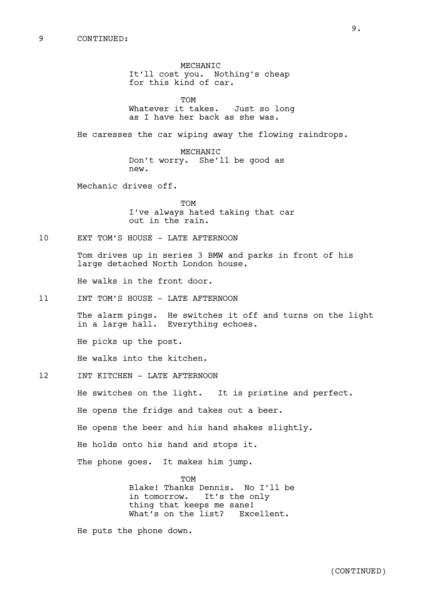MECHANIC It'll cost you. Nothing's cheap for this kind of car.

TOM Whatever it takes. Just so long as I have her back as she was.

He caresses the car wiping away the flowing raindrops.

MECHANIC Don't worry. She'll be good as new.

Mechanic drives off.

TOM I've always hated taking that car out in the rain.

10 EXT TOM'S HOUSE - LATE AFTERNOON

Tom drives up in series 3 BMW and parks in front of his large detached North London house.

He walks in the front door.

11 INT TOM'S HOUSE - LATE AFTERNOON

The alarm pings. He switches it off and turns on the light in a large hall. Everything echoes.

He picks up the post.

He walks into the kitchen.

12 INT KITCHEN - LATE AFTERNOON

He switches on the light. It is pristine and perfect.

He opens the fridge and takes out a beer.

He opens the beer and his hand shakes slightly.

He holds onto his hand and stops it.

The phone goes. It makes him jump.

**TOM** Blake! Thanks Dennis. No I'll be in tomorrow. It's the only thing that keeps me sane! What's on the list? Excellent.

He puts the phone down.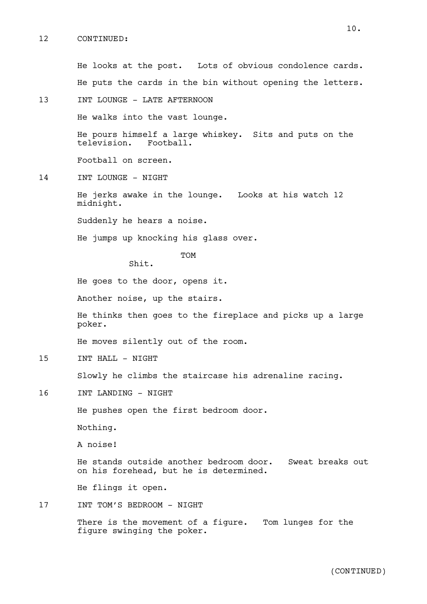# 12 CONTINUED:

10.

13 INT LOUNGE - LATE AFTERNOON He walks into the vast lounge. He pours himself a large whiskey. Sits and puts on the television. Football. Football on screen. 14 INT LOUNGE - NIGHT He jerks awake in the lounge. Looks at his watch 12 midnight. Suddenly he hears a noise. He jumps up knocking his glass over. TOM Shit. He goes to the door, opens it. Another noise, up the stairs. He thinks then goes to the fireplace and picks up a large poker. He moves silently out of the room. 15 INT HALL - NIGHT Slowly he climbs the staircase his adrenaline racing. 16 INT LANDING - NIGHT He pushes open the first bedroom door. Nothing. A noise! He stands outside another bedroom door. Sweat breaks out on his forehead, but he is determined. He flings it open. 17 INT TOM'S BEDROOM - NIGHT There is the movement of a figure. Tom lunges for the figure swinging the poker. (CONTINUED)

He looks at the post. Lots of obvious condolence cards.

He puts the cards in the bin without opening the letters.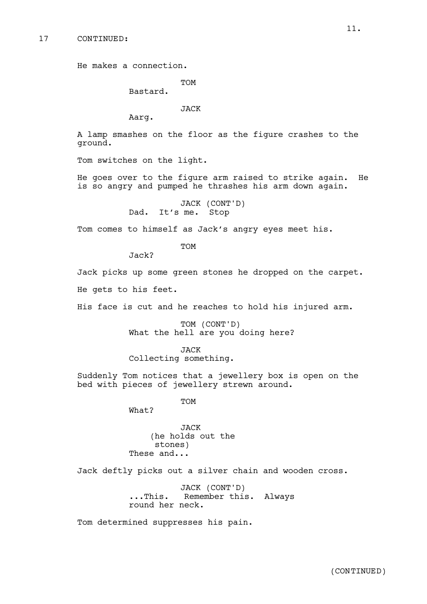He makes a connection.

**TOM** 

Bastard.

JACK

Aarg.

A lamp smashes on the floor as the figure crashes to the ground.

Tom switches on the light.

He goes over to the figure arm raised to strike again. He is so angry and pumped he thrashes his arm down again.

> JACK (CONT'D) Dad. It's me. Stop

Tom comes to himself as Jack's angry eyes meet his.

**TOM** 

Jack?

Jack picks up some green stones he dropped on the carpet.

He gets to his feet.

His face is cut and he reaches to hold his injured arm.

TOM (CONT'D) What the hell are you doing here?

JACK

Collecting something.

Suddenly Tom notices that a jewellery box is open on the bed with pieces of jewellery strewn around.

TOM

What?

JACK (he holds out the stones) These and...

Jack deftly picks out a silver chain and wooden cross.

JACK (CONT'D) ...This. Remember this. Always round her neck.

Tom determined suppresses his pain.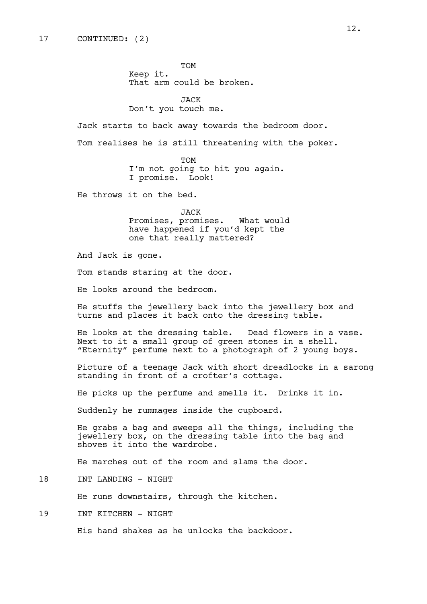TOM Keep it. That arm could be broken.

JACK Don't you touch me.

Jack starts to back away towards the bedroom door.

Tom realises he is still threatening with the poker.

TOM I'm not going to hit you again. I promise. Look!

He throws it on the bed.

JACK Promises, promises. What would have happened if you'd kept the one that really mattered?

And Jack is gone.

Tom stands staring at the door.

He looks around the bedroom.

He stuffs the jewellery back into the jewellery box and turns and places it back onto the dressing table.

He looks at the dressing table. Dead flowers in a vase. Next to it a small group of green stones in a shell. "Eternity" perfume next to a photograph of 2 young boys.

Picture of a teenage Jack with short dreadlocks in a sarong standing in front of a crofter's cottage.

He picks up the perfume and smells it. Drinks it in.

Suddenly he rummages inside the cupboard.

He grabs a bag and sweeps all the things, including the jewellery box, on the dressing table into the bag and shoves it into the wardrobe.

He marches out of the room and slams the door.

18 INT LANDING - NIGHT

He runs downstairs, through the kitchen.

19 INT KITCHEN - NIGHT

His hand shakes as he unlocks the backdoor.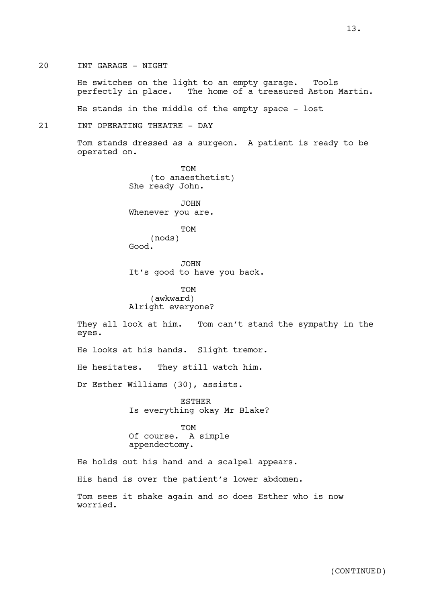He switches on the light to an empty garage. Tools perfectly in place. The home of a treasured Aston Martin.

He stands in the middle of the empty space - lost

# 21 INT OPERATING THEATRE - DAY

Tom stands dressed as a surgeon. A patient is ready to be operated on.

> TOM (to anaesthetist) She ready John.

JOHN Whenever you are.

TOM (nods) Good.

JOHN It's good to have you back.

TOM (awkward) Alright everyone?

They all look at him. Tom can't stand the sympathy in the eyes.

He looks at his hands. Slight tremor.

He hesitates. They still watch him.

Dr Esther Williams (30), assists.

ESTHER Is everything okay Mr Blake?

TOM Of course. A simple appendectomy.

He holds out his hand and a scalpel appears.

His hand is over the patient's lower abdomen.

Tom sees it shake again and so does Esther who is now worried.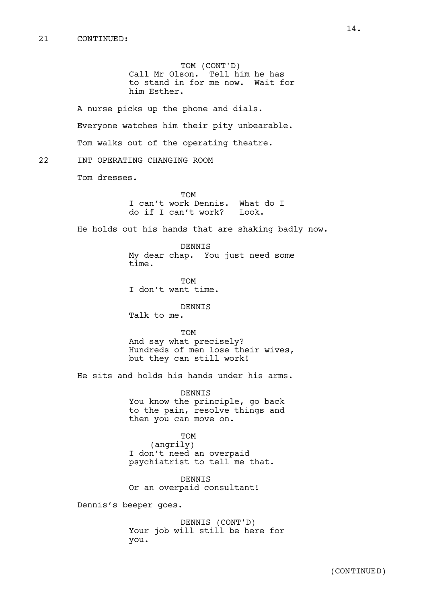TOM (CONT'D) Call Mr Olson. Tell him he has to stand in for me now. Wait for him Esther.

A nurse picks up the phone and dials. Everyone watches him their pity unbearable. Tom walks out of the operating theatre.

# 22 INT OPERATING CHANGING ROOM

Tom dresses.

TOM I can't work Dennis. What do I do if I can't work? Look.

He holds out his hands that are shaking badly now.

DENNIS My dear chap. You just need some time.

TOM I don't want time.

DENNIS Talk to me.

TOM

And say what precisely? Hundreds of men lose their wives, but they can still work!

He sits and holds his hands under his arms.

**DENNIS** You know the principle, go back to the pain, resolve things and then you can move on.

TOM (angrily) I don't need an overpaid psychiatrist to tell me that.

DENNIS Or an overpaid consultant!

Dennis's beeper goes.

DENNIS (CONT'D) Your job will still be here for you.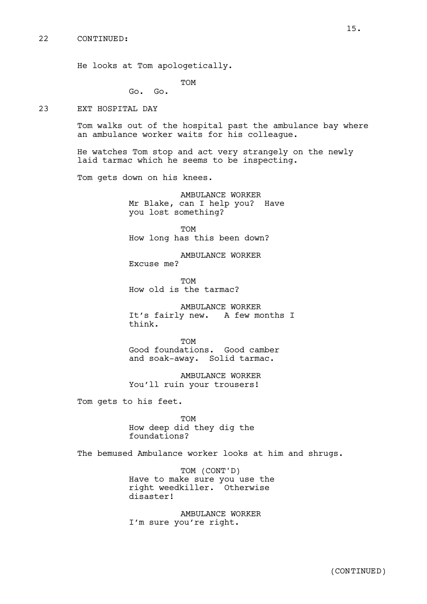He looks at Tom apologetically.

TOM

Go. Go.

23 EXT HOSPITAL DAY

Tom walks out of the hospital past the ambulance bay where an ambulance worker waits for his colleague.

He watches Tom stop and act very strangely on the newly laid tarmac which he seems to be inspecting.

Tom gets down on his knees.

AMBULANCE WORKER Mr Blake, can I help you? Have you lost something?

TOM How long has this been down?

AMBULANCE WORKER Excuse me?

TOM How old is the tarmac?

AMBULANCE WORKER It's fairly new. A few months I think.

**TOM** Good foundations. Good camber and soak-away. Solid tarmac.

AMBULANCE WORKER You'll ruin your trousers!

Tom gets to his feet.

TOM How deep did they dig the foundations?

The bemused Ambulance worker looks at him and shrugs.

TOM (CONT'D) Have to make sure you use the right weedkiller. Otherwise disaster!

AMBULANCE WORKER I'm sure you're right.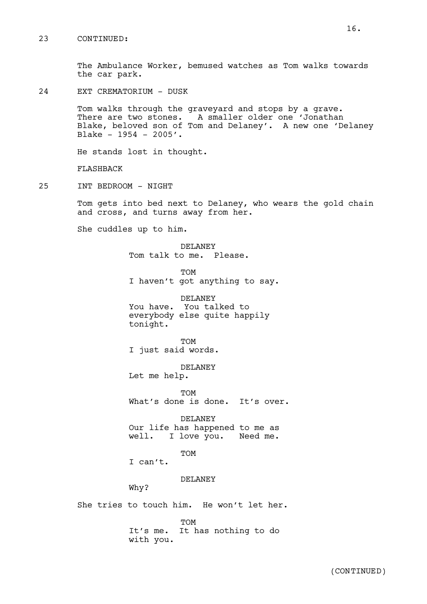## 23 CONTINUED:

The Ambulance Worker, bemused watches as Tom walks towards the car park.

24 EXT CREMATORIUM - DUSK

Tom walks through the graveyard and stops by a grave. There are two stones. A smaller older one 'Jonathan Blake, beloved son of Tom and Delaney'. A new one 'Delaney Blake - 1954 - 2005'.

He stands lost in thought.

FLASHBACK

25 INT BEDROOM - NIGHT

Tom gets into bed next to Delaney, who wears the gold chain and cross, and turns away from her.

She cuddles up to him.

DELANEY Tom talk to me. Please.

TOM I haven't got anything to say.

DELANEY You have. You talked to everybody else quite happily tonight.

TOM I just said words.

DELANEY Let me help.

TOM What's done is done. It's over.

DELANEY Our life has happened to me as well. I love you. Need me.

TOM

I can't.

DELANEY

Why?

She tries to touch him. He won't let her.

TOM It's me. It has nothing to do with you.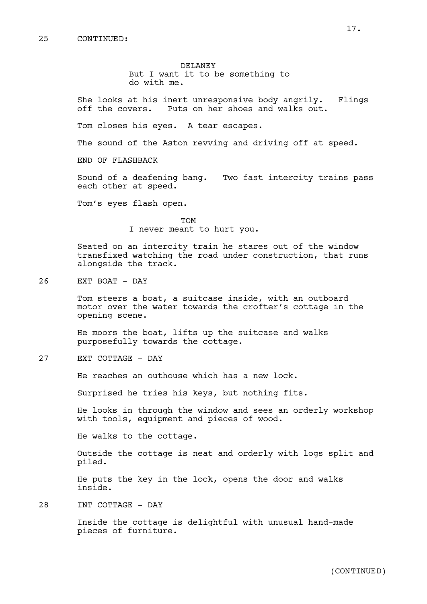DELANEY But I want it to be something to do with me.

She looks at his inert unresponsive body angrily. Flings off the covers. Puts on her shoes and walks out.

Tom closes his eyes. A tear escapes.

The sound of the Aston revving and driving off at speed.

END OF FLASHBACK

Sound of a deafening bang. Two fast intercity trains pass each other at speed.

Tom's eyes flash open.

TOM I never meant to hurt you.

Seated on an intercity train he stares out of the window transfixed watching the road under construction, that runs alongside the track.

26 EXT BOAT - DAY

Tom steers a boat, a suitcase inside, with an outboard motor over the water towards the crofter's cottage in the opening scene.

He moors the boat, lifts up the suitcase and walks purposefully towards the cottage.

27 EXT COTTAGE - DAY

He reaches an outhouse which has a new lock.

Surprised he tries his keys, but nothing fits.

He looks in through the window and sees an orderly workshop with tools, equipment and pieces of wood.

He walks to the cottage.

Outside the cottage is neat and orderly with logs split and piled.

He puts the key in the lock, opens the door and walks inside.

28 INT COTTAGE - DAY

Inside the cottage is delightful with unusual hand-made pieces of furniture.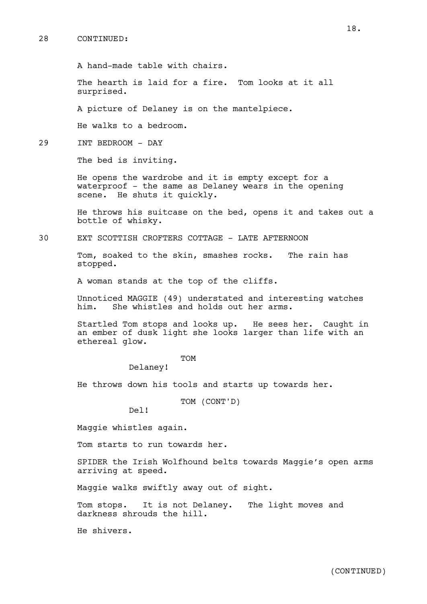#### 28 CONTINUED:

A hand-made table with chairs.

The hearth is laid for a fire. Tom looks at it all surprised.

A picture of Delaney is on the mantelpiece.

He walks to a bedroom.

29 INT BEDROOM - DAY

The bed is inviting.

He opens the wardrobe and it is empty except for a waterproof - the same as Delaney wears in the opening scene. He shuts it quickly.

He throws his suitcase on the bed, opens it and takes out a bottle of whisky.

30 EXT SCOTTISH CROFTERS COTTAGE - LATE AFTERNOON

Tom, soaked to the skin, smashes rocks. The rain has stopped.

A woman stands at the top of the cliffs.

Unnoticed MAGGIE (49) understated and interesting watches him. She whistles and holds out her arms. She whistles and holds out her arms.

Startled Tom stops and looks up. He sees her. Caught in an ember of dusk light she looks larger than life with an ethereal glow.

# TOM

Delaney!

He throws down his tools and starts up towards her.

TOM (CONT'D)

Del!

Maggie whistles again.

Tom starts to run towards her.

SPIDER the Irish Wolfhound belts towards Maggie's open arms arriving at speed.

Maggie walks swiftly away out of sight.

Tom stops. It is not Delaney. The light moves and darkness shrouds the hill.

He shivers.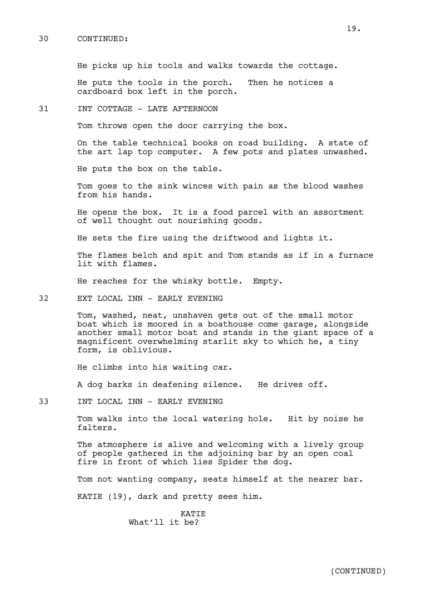#### 30 CONTINUED:

He picks up his tools and walks towards the cottage.

He puts the tools in the porch. Then he notices a cardboard box left in the porch.

#### 31 INT COTTAGE - LATE AFTERNOON

Tom throws open the door carrying the box.

On the table technical books on road building. A state of the art lap top computer. A few pots and plates unwashed.

He puts the box on the table.

Tom goes to the sink winces with pain as the blood washes from his hands.

He opens the box. It is a food parcel with an assortment of well thought out nourishing goods.

He sets the fire using the driftwood and lights it.

The flames belch and spit and Tom stands as if in a furnace lit with flames.

He reaches for the whisky bottle. Empty.

32 EXT LOCAL INN - EARLY EVENING

Tom, washed, neat, unshaven gets out of the small motor boat which is moored in a boathouse come garage, alongside another small motor boat and stands in the giant space of a magnificent overwhelming starlit sky to which he, a tiny form, is oblivious.

He climbs into his waiting car.

A dog barks in deafening silence. He drives off.

33 INT LOCAL INN - EARLY EVENING

Tom walks into the local watering hole. Hit by noise he falters.

The atmosphere is alive and welcoming with a lively group of people gathered in the adjoining bar by an open coal fire in front of which lies Spider the dog.

Tom not wanting company, seats himself at the nearer bar.

KATIE (19), dark and pretty sees him.

KATIE What'll it be?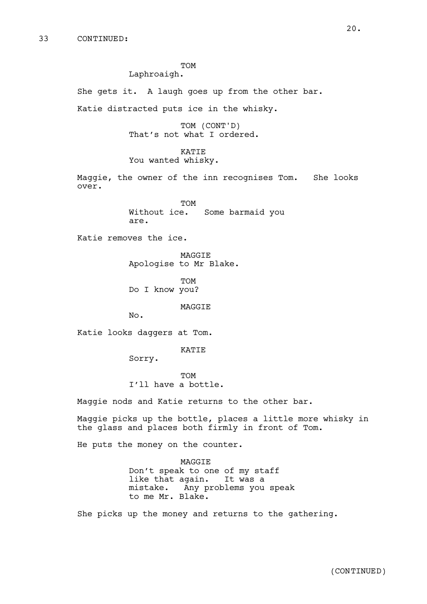TOM

# Laphroaigh.

She gets it. A laugh goes up from the other bar. Katie distracted puts ice in the whisky.

> TOM (CONT'D) That's not what I ordered.

KATIE You wanted whisky.

Maggie, the owner of the inn recognises Tom. She looks over.

> TOM Without ice. Some barmaid you are.

Katie removes the ice.

MAGGIE Apologise to Mr Blake.

TOM Do I know you?

MAGGIE

No.

Katie looks daggers at Tom.

KATIE

Sorry.

TOM I'll have a bottle.

Maggie nods and Katie returns to the other bar.

Maggie picks up the bottle, places a little more whisky in the glass and places both firmly in front of Tom.

He puts the money on the counter.

MAGGIE Don't speak to one of my staff like that again. It was a mistake. Any problems you speak to me Mr. Blake.

She picks up the money and returns to the gathering.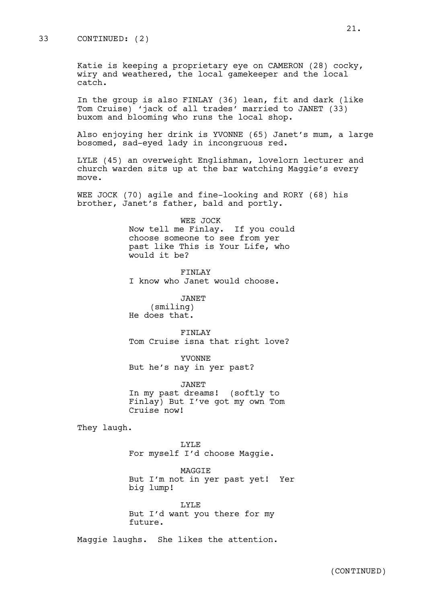### 33 CONTINUED: (2)

Katie is keeping a proprietary eye on CAMERON (28) cocky, wiry and weathered, the local gamekeeper and the local catch.

In the group is also FINLAY (36) lean, fit and dark (like Tom Cruise) 'jack of all trades' married to JANET (33) buxom and blooming who runs the local shop.

Also enjoying her drink is YVONNE (65) Janet's mum, a large bosomed, sad-eyed lady in incongruous red.

LYLE (45) an overweight Englishman, lovelorn lecturer and church warden sits up at the bar watching Maggie's every move.

WEE JOCK (70) agile and fine-looking and RORY (68) his brother, Janet's father, bald and portly.

> WEE JOCK Now tell me Finlay. If you could choose someone to see from yer past like This is Your Life, who would it be?

FINLAY I know who Janet would choose.

JANET

(smiling) He does that.

FINLAY Tom Cruise isna that right love?

YVONNE But he's nay in yer past?

JANET In my past dreams! (softly to Finlay) But I've got my own Tom Cruise now!

They laugh.

LYLE For myself I'd choose Maggie.

MAGGIE But I'm not in yer past yet! Yer big lump!

LYLE But I'd want you there for my future.

Maggie laughs. She likes the attention.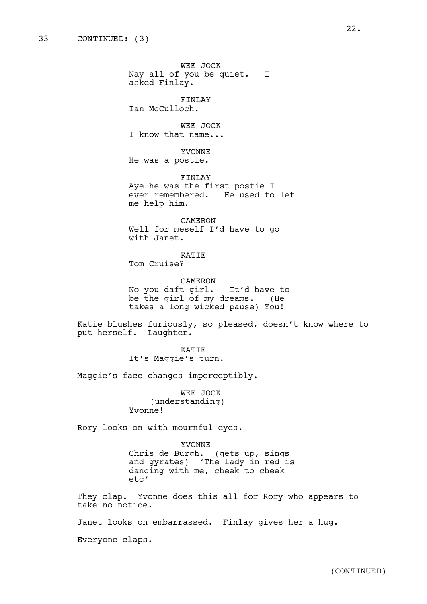WEE JOCK Nay all of you be quiet. I asked Finlay. FINLAY Ian McCulloch. WEE JOCK I know that name... YVONNE He was a postie. FINLAY Aye he was the first postie I ever remembered. He used to let me help him. CAMERON Well for meself I'd have to go with Janet. KATIE Tom Cruise? CAMERON No you daft girl. It'd have to be the girl of my dreams. (He takes a long wicked pause) You! Katie blushes furiously, so pleased, doesn't know where to put herself. Laughter. KATIE It's Maggie's turn.

Maggie's face changes imperceptibly.

WEE JOCK (understanding) Yvonne!

Rory looks on with mournful eyes.

YVONNE Chris de Burgh. (gets up, sings and gyrates) 'The lady in red is dancing with me, cheek to cheek etc'

They clap. Yvonne does this all for Rory who appears to take no notice.

Janet looks on embarrassed. Finlay gives her a hug.

Everyone claps.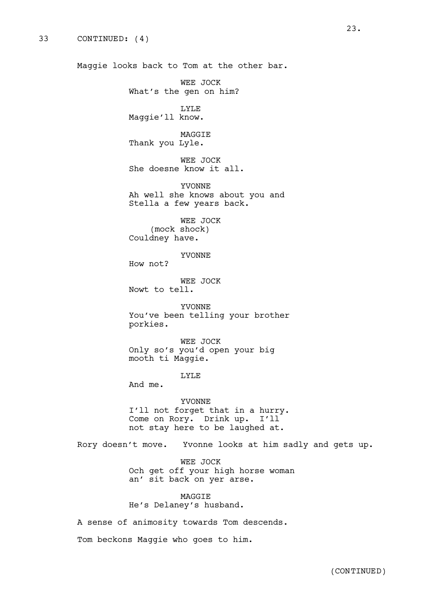Maggie looks back to Tom at the other bar.

WEE JOCK What's the gen on him?

LYLE Maggie'll know.

MAGGIE Thank you Lyle.

WEE JOCK She doesne know it all.

YVONNE Ah well she knows about you and Stella a few years back.

WEE JOCK (mock shock) Couldney have.

YVONNE

How not?

WEE JOCK Nowt to tell.

YVONNE You've been telling your brother porkies.

WEE JOCK Only so's you'd open your big mooth ti Maggie.

LYLE

And me.

YVONNE I'll not forget that in a hurry. Come on Rory. Drink up. I'll not stay here to be laughed at.

Rory doesn't move. Yvonne looks at him sadly and gets up.

WEE JOCK Och get off your high horse woman an' sit back on yer arse.

MAGGIE He's Delaney's husband.

A sense of animosity towards Tom descends.

Tom beckons Maggie who goes to him.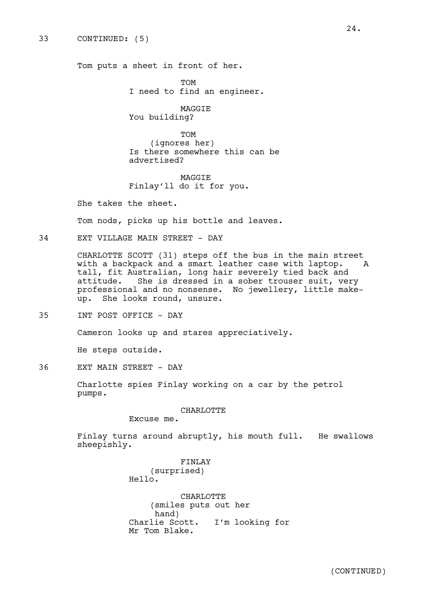Tom puts a sheet in front of her.

**TOM** I need to find an engineer.

MAGGIE You building?

TOM (ignores her) Is there somewhere this can be advertised?

MAGGIE Finlay'll do it for you.

She takes the sheet.

Tom nods, picks up his bottle and leaves.

34 EXT VILLAGE MAIN STREET - DAY

CHARLOTTE SCOTT (31) steps off the bus in the main street with a backpack and a smart leather case with laptop. A tall, fit Australian, long hair severely tied back and attitude. She is dressed in a sober trouser suit, very professional and no nonsense. No jewellery, little makeup. She looks round, unsure.

35 INT POST OFFICE - DAY

Cameron looks up and stares appreciatively.

He steps outside.

36 EXT MAIN STREET - DAY

Charlotte spies Finlay working on a car by the petrol pumps.

CHARLOTTE

Excuse me.

Finlay turns around abruptly, his mouth full. He swallows sheepishly.

> FINLAY (surprised) Hello.

CHARLOTTE (smiles puts out her hand)<br>Charlie Scott. I'm looking for Mr Tom Blake.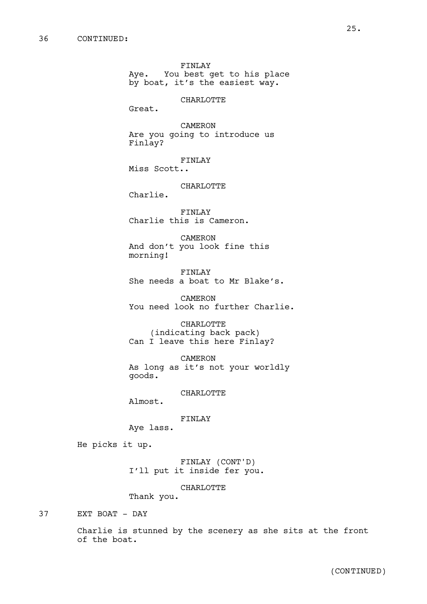FINLAY Aye. You best get to his place by boat, it's the easiest way.

CHARLOTTE

Great.

CAMERON Are you going to introduce us Finlay?

FINLAY

Miss Scott..

CHARLOTTE

Charlie.

FINLAY Charlie this is Cameron.

CAMERON And don't you look fine this morning!

FINLAY She needs a boat to Mr Blake's.

CAMERON You need look no further Charlie.

CHARLOTTE (indicating back pack) Can I leave this here Finlay?

CAMERON As long as it's not your worldly goods.

CHARLOTTE

Almost.

FINLAY

Aye lass.

He picks it up.

FINLAY (CONT'D) I'll put it inside fer you.

CHARLOTTE

Thank you.

37 EXT BOAT - DAY

Charlie is stunned by the scenery as she sits at the front of the boat.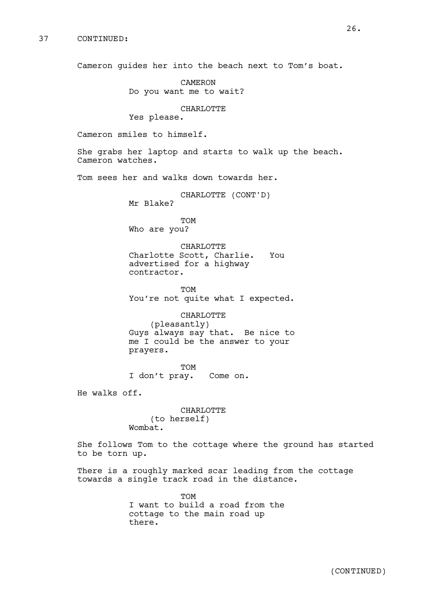Cameron guides her into the beach next to Tom's boat.

CAMERON Do you want me to wait?

#### CHARLOTTE

Yes please.

Cameron smiles to himself.

She grabs her laptop and starts to walk up the beach. Cameron watches.

Tom sees her and walks down towards her.

CHARLOTTE (CONT'D) Mr Blake?

TOM Who are you?

CHARLOTTE Charlotte Scott, Charlie. You advertised for a highway contractor.

TOM You're not quite what I expected.

CHARLOTTE (pleasantly) Guys always say that. Be nice to me I could be the answer to your prayers.

TOM I don't pray. Come on.

He walks off.

CHARLOTTE (to herself) Wombat.

She follows Tom to the cottage where the ground has started to be torn up.

There is a roughly marked scar leading from the cottage towards a single track road in the distance.

> TOM I want to build a road from the cottage to the main road up there.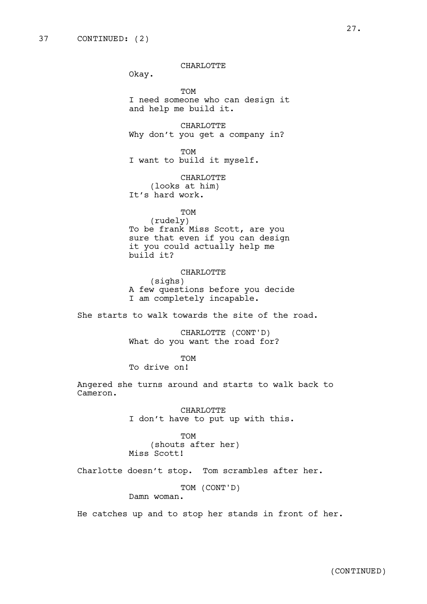CHARLOTTE

Okay.

TOM I need someone who can design it and help me build it.

CHARLOTTE Why don't you get a company in?

TOM I want to build it myself.

CHARLOTTE (looks at him) It's hard work.

TOM (rudely) To be frank Miss Scott, are you sure that even if you can design it you could actually help me build it?

CHARLOTTE (sighs) A few questions before you decide I am completely incapable.

She starts to walk towards the site of the road.

CHARLOTTE (CONT'D) What do you want the road for?

TOM

To drive on!

Angered she turns around and starts to walk back to Cameron.

> CHARLOTTE I don't have to put up with this.

TOM (shouts after her) Miss Scott!

Charlotte doesn't stop. Tom scrambles after her.

TOM (CONT'D)

Damn woman.

He catches up and to stop her stands in front of her.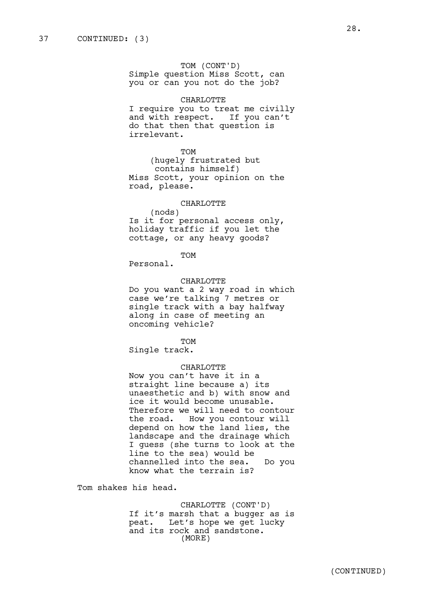TOM (CONT'D) Simple question Miss Scott, can

you or can you not do the job?

## CHARLOTTE

I require you to treat me civilly and with respect. If you can't do that then that question is irrelevant.

# TOM

(hugely frustrated but contains himself) Miss Scott, your opinion on the road, please.

#### CHARLOTTE

(nods) Is it for personal access only, holiday traffic if you let the cottage, or any heavy goods?

TOM

Personal.

### CHARLOTTE

Do you want a 2 way road in which case we're talking 7 metres or single track with a bay halfway along in case of meeting an oncoming vehicle?

TOM

Single track.

#### CHARLOTTE

Now you can't have it in a straight line because a) its unaesthetic and b) with snow and ice it would become unusable. Therefore we will need to contour the road. How you contour will depend on how the land lies, the landscape and the drainage which I guess (she turns to look at the line to the sea) would be channelled into the sea. Do you know what the terrain is?

Tom shakes his head.

CHARLOTTE (CONT'D) If it's marsh that a bugger as is peat. Let's hope we get lucky and its rock and sandstone. (MORE)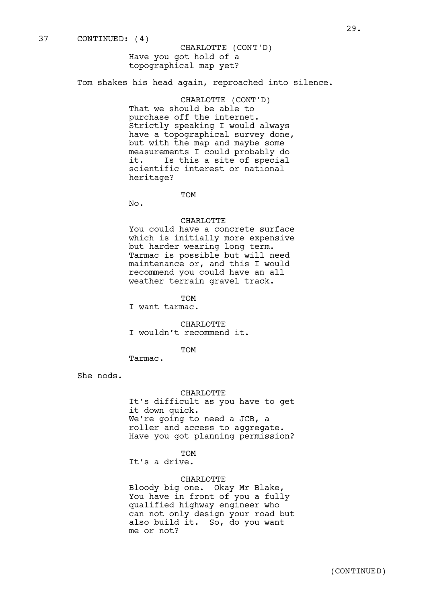Tom shakes his head again, reproached into silence.

CHARLOTTE (CONT'D) That we should be able to purchase off the internet. Strictly speaking I would always have a topographical survey done, but with the map and maybe some measurements I could probably do it. Is this a site of special scientific interest or national heritage?

TOM

No.

### CHARLOTTE

You could have a concrete surface which is initially more expensive but harder wearing long term. Tarmac is possible but will need maintenance or, and this I would recommend you could have an all weather terrain gravel track.

TOM

I want tarmac.

CHARLOTTE I wouldn't recommend it.

TOM

Tarmac.

She nods.

#### CHARLOTTE

It's difficult as you have to get it down quick. We're going to need a JCB, a roller and access to aggregate. Have you got planning permission?

TOM

It's a drive.

#### CHARLOTTE

Bloody big one. Okay Mr Blake, You have in front of you a fully qualified highway engineer who can not only design your road but also build it. So, do you want me or not?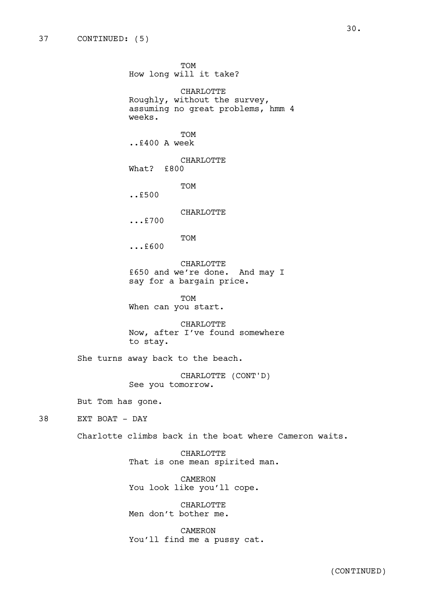TOM How long will it take? CHARLOTTE Roughly, without the survey, assuming no great problems, hmm 4 weeks. TOM ..£400 A week CHARLOTTE What? £800 TOM ..£500 CHARLOTTE ...£700 TOM ...£600 CHARLOTTE £650 and we're done. And may I say for a bargain price. TOM When can you start. CHARLOTTE Now, after I've found somewhere to stay. She turns away back to the beach. CHARLOTTE (CONT'D) See you tomorrow. But Tom has gone. 38 EXT BOAT - DAY Charlotte climbs back in the boat where Cameron waits. CHARLOTTE That is one mean spirited man. CAMERON You look like you'll cope.

CHARLOTTE Men don't bother me.

CAMERON You'll find me a pussy cat.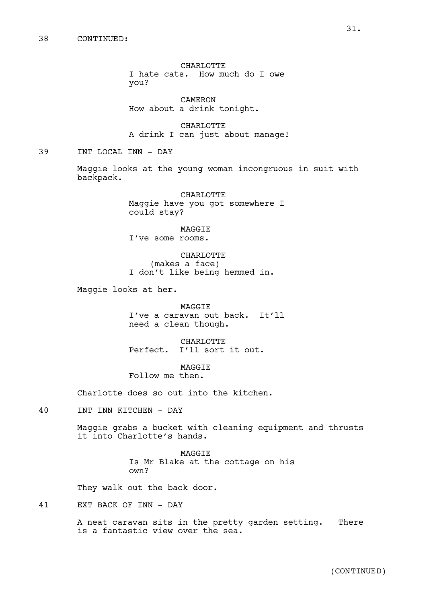CHARLOTTE I hate cats. How much do I owe you?

CAMERON How about a drink tonight.

CHARLOTTE A drink I can just about manage!

39 INT LOCAL INN - DAY

Maggie looks at the young woman incongruous in suit with backpack.

> CHARLOTTE Maggie have you got somewhere I could stay?

MAGGIE I've some rooms.

CHARLOTTE (makes a face) I don't like being hemmed in.

Maggie looks at her.

**MAGGTE** I've a caravan out back. It'll need a clean though.

CHARLOTTE Perfect. I'll sort it out.

MAGGIE Follow me then.

Charlotte does so out into the kitchen.

40 INT INN KITCHEN - DAY

Maggie grabs a bucket with cleaning equipment and thrusts it into Charlotte's hands.

> MAGGIE Is Mr Blake at the cottage on his own?

They walk out the back door.

41 EXT BACK OF INN - DAY

A neat caravan sits in the pretty garden setting. There is a fantastic view over the sea.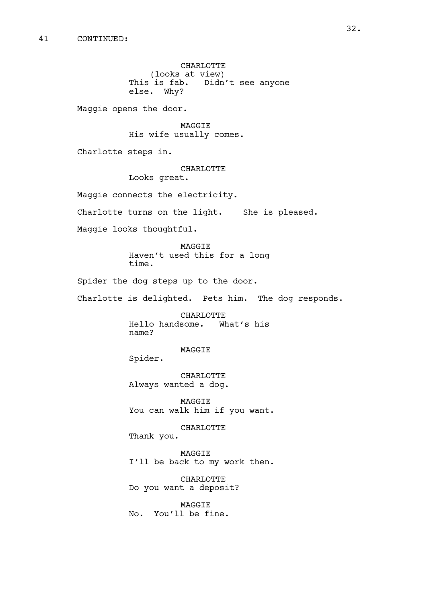CHARLOTTE (looks at view) This is fab. Didn't see anyone else. Why?

Maggie opens the door.

MAGGIE His wife usually comes.

Charlotte steps in.

CHARLOTTE

Looks great.

Maggie connects the electricity.

Charlotte turns on the light. She is pleased.

Maggie looks thoughtful.

MAGGIE Haven't used this for a long time.

Spider the dog steps up to the door.

Charlotte is delighted. Pets him. The dog responds.

CHARLOTTE Hello handsome. What's his name?

MAGGIE

Spider.

CHARLOTTE Always wanted a dog.

MAGGIE You can walk him if you want.

CHARLOTTE Thank you.

MAGGIE

I'll be back to my work then.

CHARLOTTE Do you want a deposit?

MAGGIE No. You'll be fine.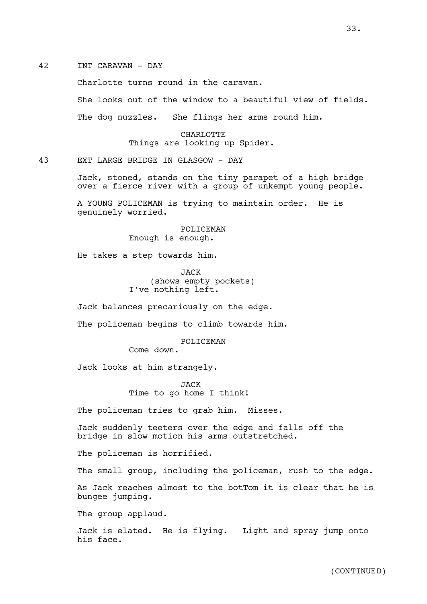# 42 INT CARAVAN - DAY

Charlotte turns round in the caravan.

She looks out of the window to a beautiful view of fields.

The dog nuzzles. She flings her arms round him.

CHARLOTTE Things are looking up Spider.

43 EXT LARGE BRIDGE IN GLASGOW - DAY

Jack, stoned, stands on the tiny parapet of a high bridge over a fierce river with a group of unkempt young people.

A YOUNG POLICEMAN is trying to maintain order. He is genuinely worried.

> POLICEMAN Enough is enough.

He takes a step towards him.

JACK (shows empty pockets) I've nothing left.

Jack balances precariously on the edge.

The policeman begins to climb towards him.

POLICEMAN

Come down.

Jack looks at him strangely.

JACK Time to go home I think!

The policeman tries to grab him. Misses.

Jack suddenly teeters over the edge and falls off the bridge in slow motion his arms outstretched.

The policeman is horrified.

The small group, including the policeman, rush to the edge.

As Jack reaches almost to the botTom it is clear that he is bungee jumping.

The group applaud.

Jack is elated. He is flying. Light and spray jump onto his face.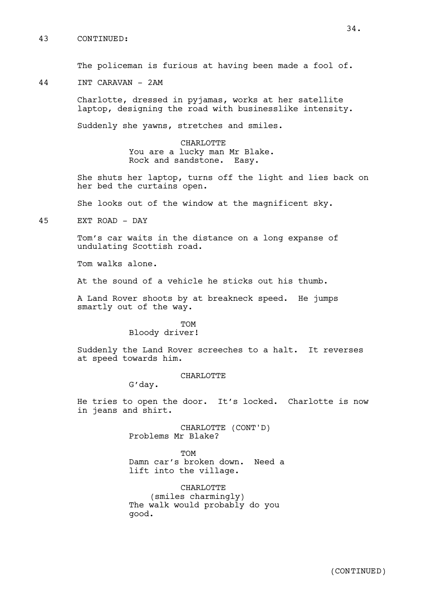# 43 CONTINUED:

The policeman is furious at having been made a fool of.

44 INT CARAVAN - 2AM

Charlotte, dressed in pyjamas, works at her satellite laptop, designing the road with businesslike intensity.

Suddenly she yawns, stretches and smiles.

CHARLOTTE You are a lucky man Mr Blake. Rock and sandstone. Easy.

She shuts her laptop, turns off the light and lies back on her bed the curtains open.

She looks out of the window at the magnificent sky.

45 EXT ROAD - DAY

Tom's car waits in the distance on a long expanse of undulating Scottish road.

Tom walks alone.

At the sound of a vehicle he sticks out his thumb.

A Land Rover shoots by at breakneck speed. He jumps smartly out of the way.

> **TOM** Bloody driver!

Suddenly the Land Rover screeches to a halt. It reverses at speed towards him.

#### CHARLOTTE

G'day.

He tries to open the door. It's locked. Charlotte is now in jeans and shirt.

> CHARLOTTE (CONT'D) Problems Mr Blake?

TOM Damn car's broken down. Need a lift into the village.

CHARLOTTE (smiles charmingly) The walk would probably do you good.

34.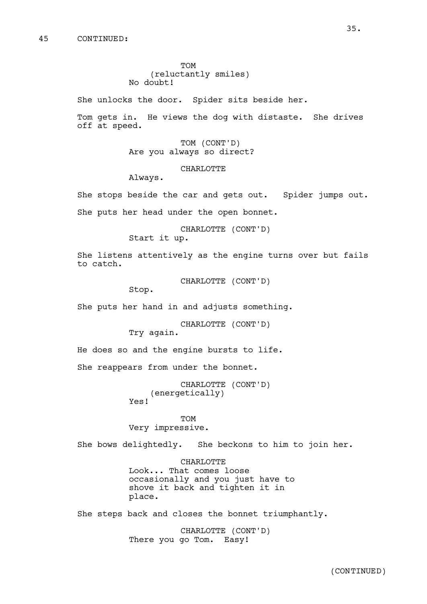TOM (reluctantly smiles) No doubt!

She unlocks the door. Spider sits beside her.

Tom gets in. He views the dog with distaste. She drives off at speed.

> TOM (CONT'D) Are you always so direct?

> > CHARLOTTE

Always.

She stops beside the car and gets out. Spider jumps out. She puts her head under the open bonnet.

> CHARLOTTE (CONT'D) Start it up.

She listens attentively as the engine turns over but fails to catch.

CHARLOTTE (CONT'D)

Stop.

She puts her hand in and adjusts something.

CHARLOTTE (CONT'D) Try again.

He does so and the engine bursts to life.

She reappears from under the bonnet.

```
CHARLOTTE (CONT'D)
    (energetically)
Yes!
```
TOM

Very impressive.

She bows delightedly. She beckons to him to join her.

CHARLOTTE Look... That comes loose occasionally and you just have to shove it back and tighten it in place.

She steps back and closes the bonnet triumphantly.

CHARLOTTE (CONT'D) There you go Tom. Easy!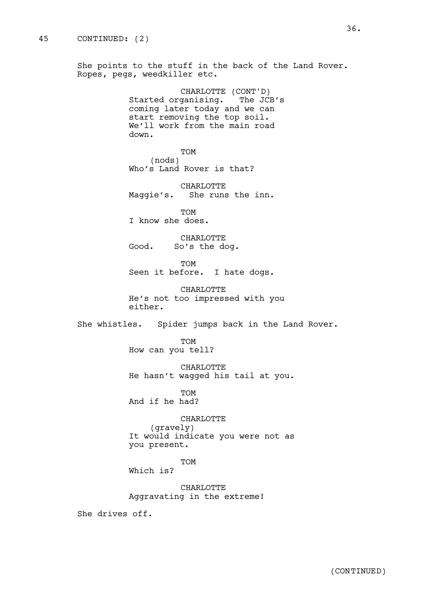She points to the stuff in the back of the Land Rover. Ropes, pegs, weedkiller etc.

> CHARLOTTE (CONT'D) Started organising. The JCB's coming later today and we can start removing the top soil. We'll work from the main road down.

TOM (nods) Who's Land Rover is that?

CHARLOTTE Maggie's. She runs the inn.

**TOM** I know she does.

CHARLOTTE Good. So's the dog.

TOM Seen it before. I hate dogs.

CHARLOTTE He's not too impressed with you either.

She whistles. Spider jumps back in the Land Rover.

TOM How can you tell?

CHARLOTTE He hasn't wagged his tail at you.

**TOM** And if he had?

CHARLOTTE (gravely) It would indicate you were not as you present.

TOM

Which is?

CHARLOTTE Aggravating in the extreme!

She drives off.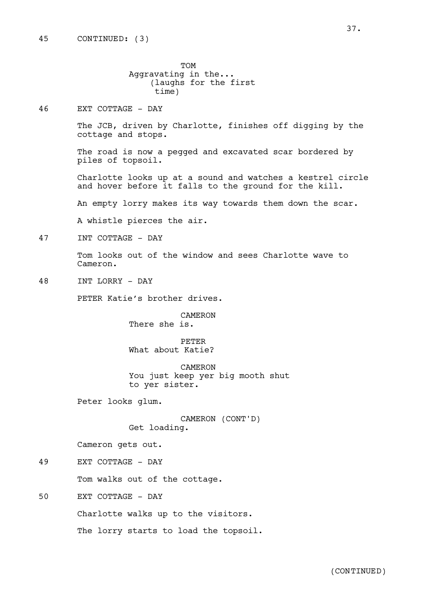TOM Aggravating in the... (laughs for the first time)

46 EXT COTTAGE - DAY

The JCB, driven by Charlotte, finishes off digging by the cottage and stops.

The road is now a pegged and excavated scar bordered by piles of topsoil.

Charlotte looks up at a sound and watches a kestrel circle and hover before it falls to the ground for the kill.

An empty lorry makes its way towards them down the scar.

A whistle pierces the air.

47 INT COTTAGE - DAY

Tom looks out of the window and sees Charlotte wave to Cameron.

48 INT LORRY - DAY

PETER Katie's brother drives.

CAMERON There she is.

PETER What about Katie?

CAMERON You just keep yer big mooth shut to yer sister.

Peter looks glum.

CAMERON (CONT'D) Get loading.

Cameron gets out.

49 EXT COTTAGE - DAY

Tom walks out of the cottage.

50 EXT COTTAGE - DAY

Charlotte walks up to the visitors.

The lorry starts to load the topsoil.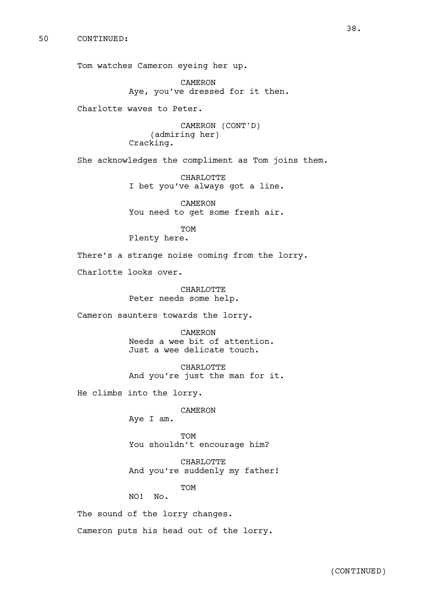Tom watches Cameron eyeing her up.

CAMERON Aye, you've dressed for it then.

Charlotte waves to Peter.

CAMERON (CONT'D) (admiring her) Cracking.

She acknowledges the compliment as Tom joins them.

CHARLOTTE I bet you've always got a line.

CAMERON You need to get some fresh air.

TOM Plenty here.

There's a strange noise coming from the lorry.

Charlotte looks over.

CHARLOTTE Peter needs some help.

Cameron saunters towards the lorry.

CAMERON Needs a wee bit of attention. Just a wee delicate touch.

CHARLOTTE And you're just the man for it.

He climbs into the lorry.

CAMERON

Aye I am.

TOM You shouldn't encourage him?

CHARLOTTE And you're suddenly my father!

TOM

NO! No.

The sound of the lorry changes.

Cameron puts his head out of the lorry.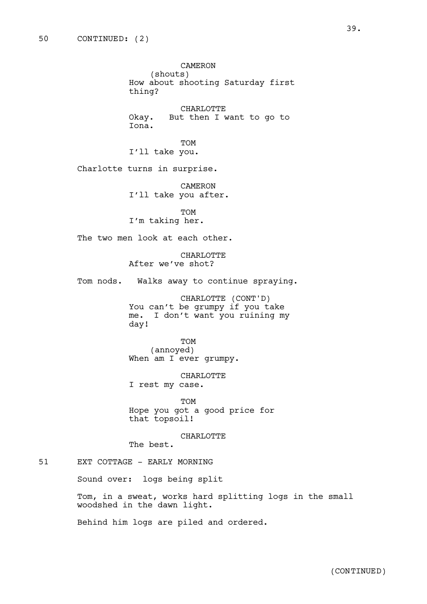CAMERON (shouts) How about shooting Saturday first thing? CHARLOTTE Okay. But then I want to go to Iona. TOM I'll take you. Charlotte turns in surprise. CAMERON I'll take you after. TOM I'm taking her. The two men look at each other. CHARLOTTE After we've shot? Tom nods. Walks away to continue spraying. CHARLOTTE (CONT'D) You can't be grumpy if you take me. I don't want you ruining my day! TOM (annoyed) When am I ever grumpy. CHARLOTTE I rest my case. TOM Hope you got a good price for that topsoil! CHARLOTTE The best. 51 EXT COTTAGE - EARLY MORNING Sound over: logs being split

> Tom, in a sweat, works hard splitting logs in the small woodshed in the dawn light.

Behind him logs are piled and ordered.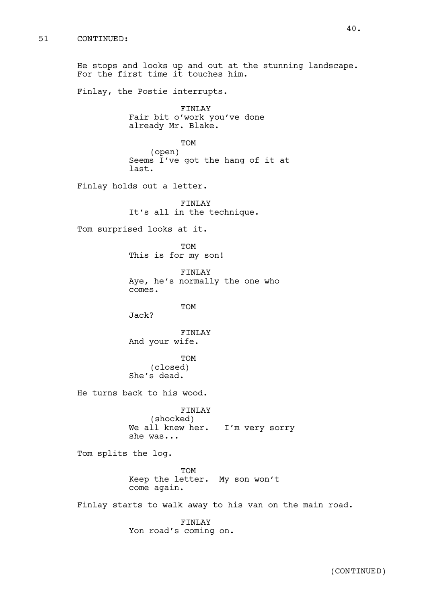He stops and looks up and out at the stunning landscape. For the first time it touches him. Finlay, the Postie interrupts. FINLAY Fair bit o'work you've done already Mr. Blake. TOM (open) Seems I've got the hang of it at last. Finlay holds out a letter. FINLAY It's all in the technique. Tom surprised looks at it. TOM This is for my son! FINLAY Aye, he's normally the one who comes. TOM Jack? FINLAY And your wife. TOM (closed) She's dead. He turns back to his wood. FINLAY (shocked) We all knew her. I'm very sorry she was... Tom splits the log. TOM Keep the letter. My son won't come again. Finlay starts to walk away to his van on the main road. FINLAY Yon road's coming on.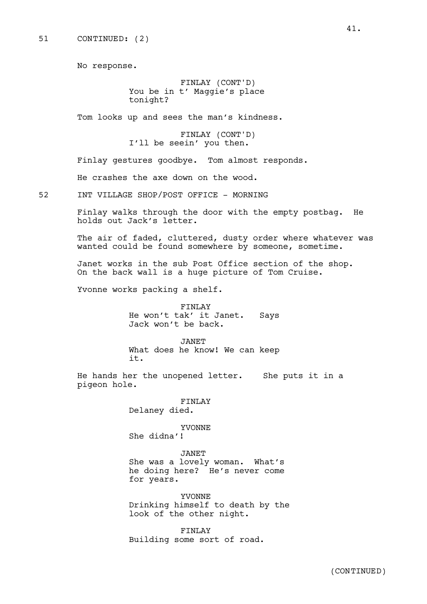No response.

FINLAY (CONT'D) You be in t' Maggie's place tonight?

Tom looks up and sees the man's kindness.

FINLAY (CONT'D) I'll be seein' you then.

Finlay gestures goodbye. Tom almost responds.

He crashes the axe down on the wood.

52 INT VILLAGE SHOP/POST OFFICE - MORNING

Finlay walks through the door with the empty postbag. He holds out Jack's letter.

The air of faded, cluttered, dusty order where whatever was wanted could be found somewhere by someone, sometime.

Janet works in the sub Post Office section of the shop. On the back wall is a huge picture of Tom Cruise.

Yvonne works packing a shelf.

FINLAY He won't tak' it Janet. Says Jack won't be back.

JANET What does he know! We can keep it.

He hands her the unopened letter. She puts it in a pigeon hole.

FINLAY

Delaney died.

YVONNE She didna'!

JANET

She was a lovely woman. What's he doing here? He's never come for years.

YVONNE Drinking himself to death by the look of the other night.

FINLAY Building some sort of road.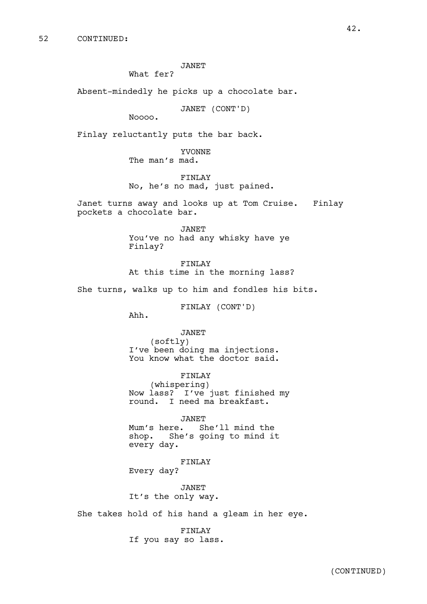JANET

What fer?

Absent-mindedly he picks up a chocolate bar.

JANET (CONT'D)

Noooo.

Finlay reluctantly puts the bar back.

YVONNE The man's mad.

FINLAY No, he's no mad, just pained.

Janet turns away and looks up at Tom Cruise. Finlay pockets a chocolate bar.

> JANET You've no had any whisky have ye Finlay?

FINLAY At this time in the morning lass?

She turns, walks up to him and fondles his bits.

FINLAY (CONT'D)

Ahh.

JANET (softly) I've been doing ma injections. You know what the doctor said.

FINLAY (whispering) Now lass? I've just finished my round. I need ma breakfast.

JANET Mum's here. She'll mind the shop. She's going to mind it every day.

FINLAY Every day?

JANET It's the only way.

She takes hold of his hand a gleam in her eye.

FINLAY If you say so lass.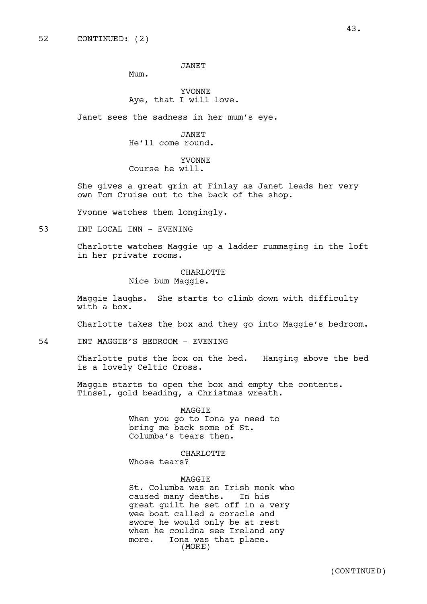JANET

Mum.

YVONNE Aye, that I will love.

Janet sees the sadness in her mum's eye.

JANET He'll come round.

YVONNE Course he will.

She gives a great grin at Finlay as Janet leads her very own Tom Cruise out to the back of the shop.

Yvonne watches them longingly.

53 INT LOCAL INN - EVENING

Charlotte watches Maggie up a ladder rummaging in the loft in her private rooms.

CHARLOTTE

Nice bum Maggie.

Maggie laughs. She starts to climb down with difficulty with a box.

Charlotte takes the box and they go into Maggie's bedroom.

54 INT MAGGIE'S BEDROOM - EVENING

Charlotte puts the box on the bed. Hanging above the bed is a lovely Celtic Cross.

Maggie starts to open the box and empty the contents. Tinsel, gold beading, a Christmas wreath.

> MAGGIE When you go to Iona ya need to bring me back some of St. Columba's tears then.

CHARLOTTE Whose tears?

MAGGIE

St. Columba was an Irish monk who caused many deaths. In his great guilt he set off in a very wee boat called a coracle and swore he would only be at rest when he couldna see Ireland any more. Iona was that place. (MORE)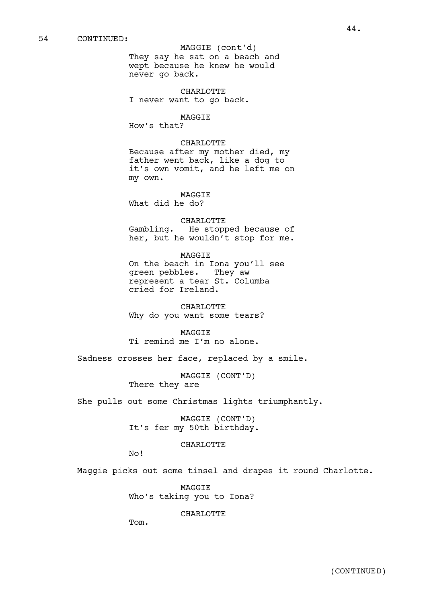#### MAGGIE (cont'd)

They say he sat on a beach and wept because he knew he would never go back.

CHARLOTTE I never want to go back.

### MAGGIE

How's that?

# CHARLOTTE

Because after my mother died, my father went back, like a dog to it's own vomit, and he left me on my own.

MAGGIE What did he do?

CHARLOTTE Gambling. He stopped because of her, but he wouldn't stop for me.

MAGGIE On the beach in Iona you'll see green pebbles. They aw represent a tear St. Columba cried for Ireland.

CHARLOTTE Why do you want some tears?

MAGGIE Ti remind me I'm no alone.

Sadness crosses her face, replaced by a smile.

MAGGIE (CONT'D) There they are

She pulls out some Christmas lights triumphantly.

MAGGIE (CONT'D) It's fer my 50th birthday.

### CHARLOTTE

No!

Maggie picks out some tinsel and drapes it round Charlotte.

MAGGIE Who's taking you to Iona?

CHARLOTTE

Tom.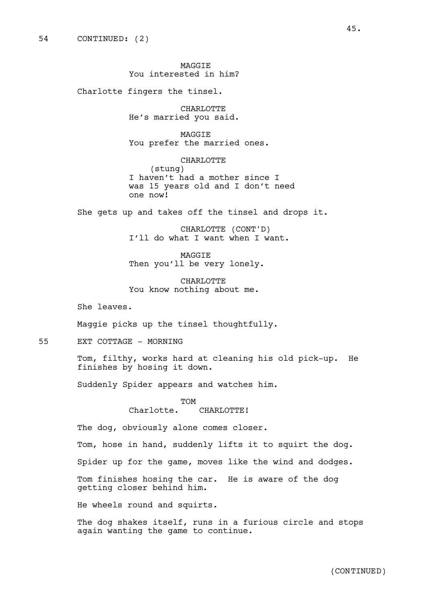MAGGIE You interested in him?

Charlotte fingers the tinsel.

CHARLOTTE He's married you said.

MAGGIE You prefer the married ones.

CHARLOTTE (stung) I haven't had a mother since I was 15 years old and I don't need one now!

She gets up and takes off the tinsel and drops it.

CHARLOTTE (CONT'D) I'll do what I want when I want.

MAGGIE Then you'll be very lonely.

CHARLOTTE You know nothing about me.

She leaves.

Maggie picks up the tinsel thoughtfully.

55 EXT COTTAGE - MORNING

Tom, filthy, works hard at cleaning his old pick-up. He finishes by hosing it down.

Suddenly Spider appears and watches him.

TOM

Charlotte. CHARLOTTE!

The dog, obviously alone comes closer.

Tom, hose in hand, suddenly lifts it to squirt the dog.

Spider up for the game, moves like the wind and dodges.

Tom finishes hosing the car. He is aware of the dog getting closer behind him.

He wheels round and squirts.

The dog shakes itself, runs in a furious circle and stops again wanting the game to continue.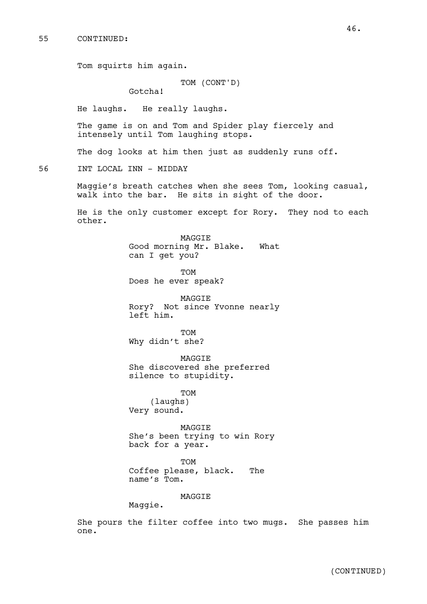Tom squirts him again.

# TOM (CONT'D)

Gotcha!

He laughs. He really laughs.

The game is on and Tom and Spider play fiercely and intensely until Tom laughing stops.

The dog looks at him then just as suddenly runs off.

56 INT LOCAL INN - MIDDAY

Maggie's breath catches when she sees Tom, looking casual, walk into the bar. He sits in sight of the door.

He is the only customer except for Rory. They nod to each other.

> MAGGIE Good morning Mr. Blake. What can I get you?

TOM Does he ever speak?

MAGGIE Rory? Not since Yvonne nearly left him.

TOM Why didn't she?

MAGGIE She discovered she preferred silence to stupidity.

TOM (laughs) Very sound.

MAGGIE She's been trying to win Rory back for a year.

TOM Coffee please, black. The name's Tom.

MAGGIE

Maggie.

She pours the filter coffee into two mugs. She passes him one.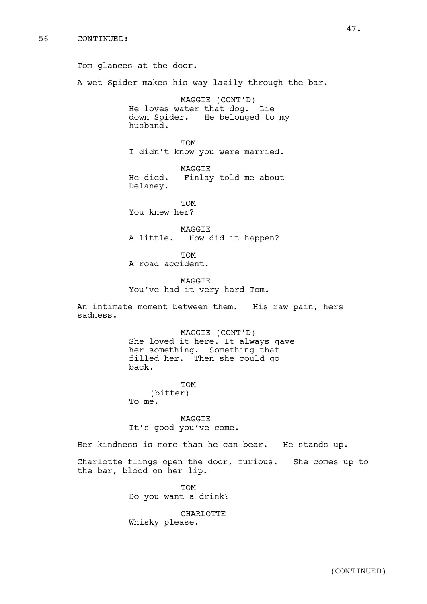Tom glances at the door. A wet Spider makes his way lazily through the bar. MAGGIE (CONT'D) He loves water that dog. Lie down Spider. He belonged to my husband. TOM I didn't know you were married. MAGGIE He died. Finlay told me about Delaney. TOM You knew her? MAGGIE A little. How did it happen? TOM A road accident. MAGGIE You've had it very hard Tom. An intimate moment between them. His raw pain, hers sadness. MAGGIE (CONT'D) She loved it here. It always gave her something. Something that filled her. Then she could go back. TOM (bitter) To me. MAGGIE It's good you've come. Her kindness is more than he can bear. He stands up. Charlotte flings open the door, furious. She comes up to the bar, blood on her lip. TOM

Do you want a drink?

CHARLOTTE Whisky please.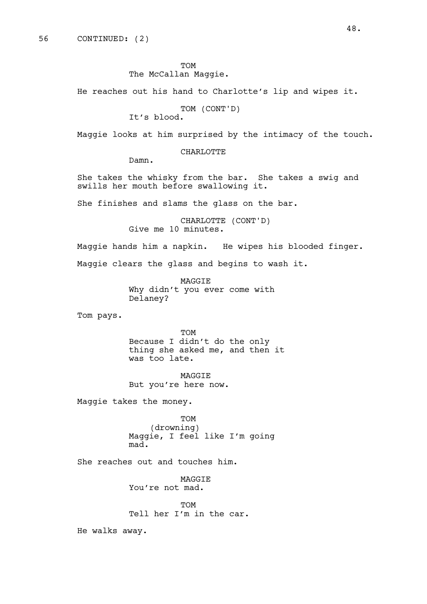TOM The McCallan Maggie.

He reaches out his hand to Charlotte's lip and wipes it.

TOM (CONT'D)

It's blood.

Maggie looks at him surprised by the intimacy of the touch.

CHARLOTTE

Damn.

She takes the whisky from the bar. She takes a swig and swills her mouth before swallowing it.

She finishes and slams the glass on the bar.

CHARLOTTE (CONT'D) Give me 10 minutes.

Maggie hands him a napkin. He wipes his blooded finger.

Maggie clears the glass and begins to wash it.

MAGGIE Why didn't you ever come with Delaney?

Tom pays.

TOM Because I didn't do the only thing she asked me, and then it was too late.

MAGGIE But you're here now.

Maggie takes the money.

TOM (drowning) Maggie, I feel like I'm going mad.

She reaches out and touches him.

MAGGIE You're not mad.

TOM Tell her I'm in the car.

He walks away.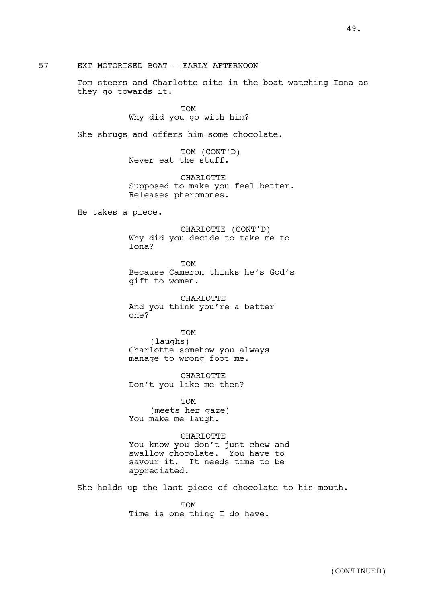57 EXT MOTORISED BOAT - EARLY AFTERNOON

Tom steers and Charlotte sits in the boat watching Iona as they go towards it.

> TOM Why did you go with him?

She shrugs and offers him some chocolate.

TOM (CONT'D) Never eat the stuff.

CHARLOTTE Supposed to make you feel better. Releases pheromones.

He takes a piece.

CHARLOTTE (CONT'D) Why did you decide to take me to Iona?

TOM Because Cameron thinks he's God's gift to women.

CHARLOTTE And you think you're a better one?

TOM (laughs) Charlotte somehow you always manage to wrong foot me.

CHARLOTTE Don't you like me then?

TOM (meets her gaze) You make me laugh.

appreciated.

CHARLOTTE You know you don't just chew and swallow chocolate. You have to savour it. It needs time to be

She holds up the last piece of chocolate to his mouth.

TOM Time is one thing I do have.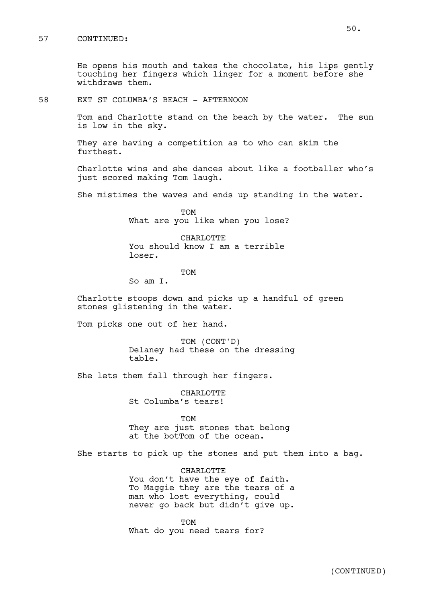# 57 CONTINUED:

He opens his mouth and takes the chocolate, his lips gently touching her fingers which linger for a moment before she withdraws them.

58 EXT ST COLUMBA'S BEACH - AFTERNOON

Tom and Charlotte stand on the beach by the water. The sun is low in the sky.

They are having a competition as to who can skim the furthest.

Charlotte wins and she dances about like a footballer who's just scored making Tom laugh.

She mistimes the waves and ends up standing in the water.

TOM What are you like when you lose?

CHARLOTTE You should know I am a terrible loser.

TOM

So am I.

Charlotte stoops down and picks up a handful of green stones glistening in the water.

Tom picks one out of her hand.

TOM (CONT'D) Delaney had these on the dressing table.

She lets them fall through her fingers.

CHARLOTTE St Columba's tears!

TOM They are just stones that belong at the botTom of the ocean.

She starts to pick up the stones and put them into a bag.

CHARLOTTE You don't have the eye of faith. To Maggie they are the tears of a man who lost everything, could never go back but didn't give up.

TOM What do you need tears for?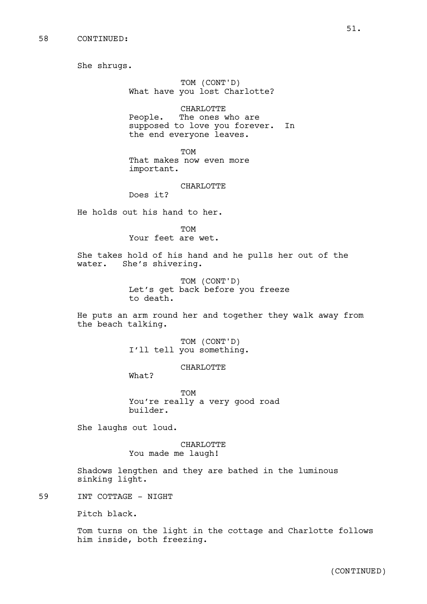She shrugs.

TOM (CONT'D) What have you lost Charlotte?

CHARLOTTE People. The ones who are supposed to love you forever. In the end everyone leaves.

TOM That makes now even more important.

#### CHARLOTTE

Does it?

He holds out his hand to her.

TOM Your feet are wet.

She takes hold of his hand and he pulls her out of the water. She's shivering.

> TOM (CONT'D) Let's get back before you freeze to death.

He puts an arm round her and together they walk away from the beach talking.

> TOM (CONT'D) I'll tell you something.

> > CHARLOTTE

What?

TOM You're really a very good road builder.

She laughs out loud.

CHARLOTTE You made me laugh!

Shadows lengthen and they are bathed in the luminous sinking light.

59 INT COTTAGE - NIGHT

Pitch black.

Tom turns on the light in the cottage and Charlotte follows him inside, both freezing.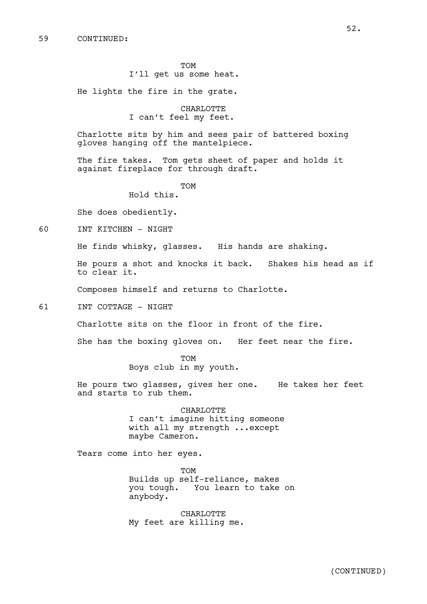TOM I'll get us some heat.

He lights the fire in the grate.

CHARLOTTE I can't feel my feet.

Charlotte sits by him and sees pair of battered boxing gloves hanging off the mantelpiece.

The fire takes. Tom gets sheet of paper and holds it against fireplace for through draft.

TOM

Hold this.

She does obediently.

60 INT KITCHEN - NIGHT

He finds whisky, glasses. His hands are shaking.

He pours a shot and knocks it back. Shakes his head as if to clear it.

Composes himself and returns to Charlotte.

61 INT COTTAGE - NIGHT

Charlotte sits on the floor in front of the fire.

She has the boxing gloves on. Her feet near the fire.

TOM Boys club in my youth.

He pours two glasses, gives her one. He takes her feet and starts to rub them.

> CHARLOTTE I can't imagine hitting someone with all my strength ...except maybe Cameron.

Tears come into her eyes.

TOM Builds up self-reliance, makes you tough. You learn to take on anybody.

CHARLOTTE My feet are killing me.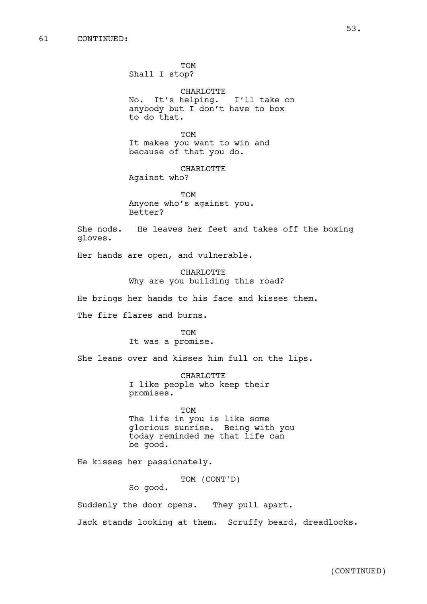# 61 CONTINUED:

TOM Shall I stop?

CHARLOTTE No. It's helping. I'll take on anybody but I don't have to box to do that.

TOM It makes you want to win and because of that you do.

CHARLOTTE Against who?

TOM Anyone who's against you. Better?

She nods. He leaves her feet and takes off the boxing gloves.

Her hands are open, and vulnerable.

CHARLOTTE Why are you building this road?

He brings her hands to his face and kisses them.

The fire flares and burns.

**TOM** It was a promise.

She leans over and kisses him full on the lips.

CHARLOTTE I like people who keep their promises.

TOM The life in you is like some glorious sunrise. Being with you today reminded me that life can be good.

He kisses her passionately.

TOM (CONT'D)

So good.

Suddenly the door opens. They pull apart.

Jack stands looking at them. Scruffy beard, dreadlocks.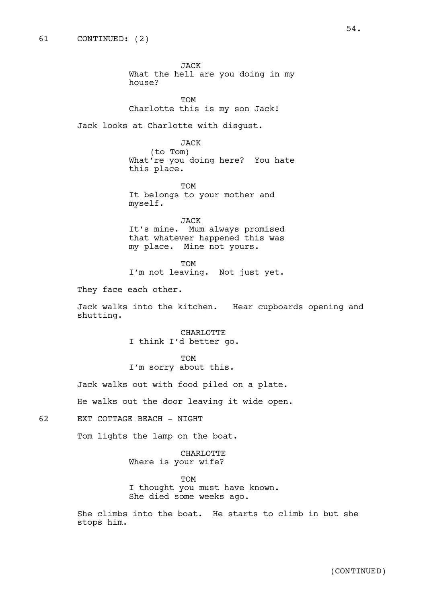JACK What the hell are you doing in my house?

TOM Charlotte this is my son Jack!

Jack looks at Charlotte with disgust.

JACK (to Tom) What're you doing here? You hate this place.

TOM It belongs to your mother and myself.

JACK It's mine. Mum always promised that whatever happened this was my place. Mine not yours.

TOM I'm not leaving. Not just yet.

They face each other.

Jack walks into the kitchen. Hear cupboards opening and shutting.

> CHARLOTTE I think I'd better go.

TOM I'm sorry about this.

Jack walks out with food piled on a plate.

He walks out the door leaving it wide open.

62 EXT COTTAGE BEACH - NIGHT

Tom lights the lamp on the boat.

CHARLOTTE Where is your wife?

TOM

I thought you must have known. She died some weeks ago.

She climbs into the boat. He starts to climb in but she stops him.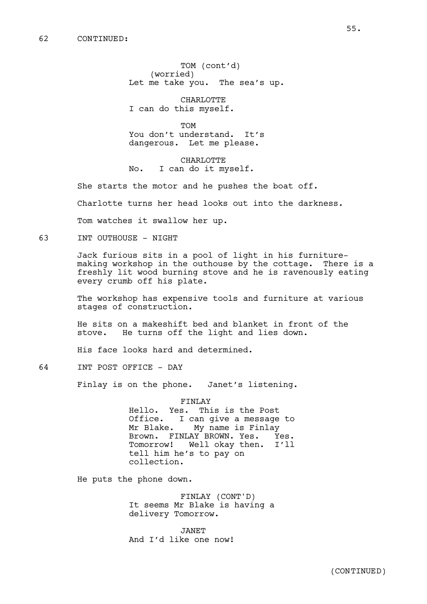TOM (cont'd) (worried) Let me take you. The sea's up.

CHARLOTTE I can do this myself.

TOM You don't understand. It's dangerous. Let me please.

CHARLOTTE No. I can do it myself.

She starts the motor and he pushes the boat off.

Charlotte turns her head looks out into the darkness.

Tom watches it swallow her up.

63 INT OUTHOUSE - NIGHT

Jack furious sits in a pool of light in his furnituremaking workshop in the outhouse by the cottage. There is a freshly lit wood burning stove and he is ravenously eating every crumb off his plate.

The workshop has expensive tools and furniture at various stages of construction.

He sits on a makeshift bed and blanket in front of the stove. He turns off the light and lies down.

His face looks hard and determined.

64 INT POST OFFICE - DAY

Finlay is on the phone. Janet's listening.

FINLAY Hello. Yes. This is the Post Office. I can give a message to<br>Mr Blake. My name is Finlay My name is Finlay Brown. FINLAY BROWN. Yes. Yes. Tomorrow! Well okay then. I'll tell him he's to pay on collection.

He puts the phone down.

FINLAY (CONT'D) It seems Mr Blake is having a delivery Tomorrow.

JANET And I'd like one now!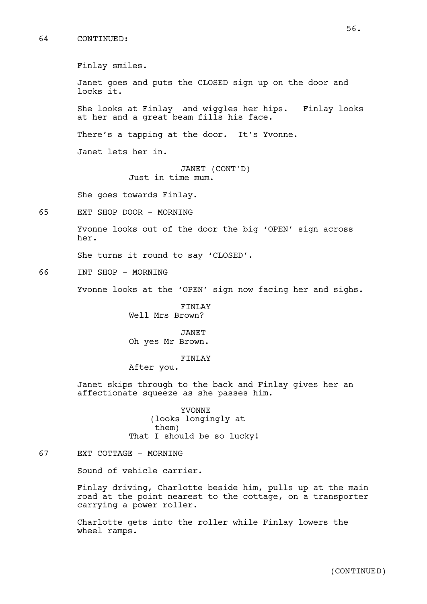# 64 CONTINUED:

Finlay smiles. Janet goes and puts the CLOSED sign up on the door and locks it. She looks at Finlay and wiggles her hips. Finlay looks at her and a great beam fills his face. There's a tapping at the door. It's Yvonne. Janet lets her in. JANET (CONT'D) Just in time mum. She goes towards Finlay. 65 EXT SHOP DOOR - MORNING Yvonne looks out of the door the big 'OPEN' sign across her. She turns it round to say 'CLOSED'. 66 INT SHOP - MORNING Yvonne looks at the 'OPEN' sign now facing her and sighs. FINLAY Well Mrs Brown?

> JANET Oh yes Mr Brown.

#### FINLAY

After you.

Janet skips through to the back and Finlay gives her an affectionate squeeze as she passes him.

> YVONNE (looks longingly at them) That I should be so lucky!

# 67 EXT COTTAGE - MORNING

Sound of vehicle carrier.

Finlay driving, Charlotte beside him, pulls up at the main road at the point nearest to the cottage, on a transporter carrying a power roller.

Charlotte gets into the roller while Finlay lowers the wheel ramps.

56.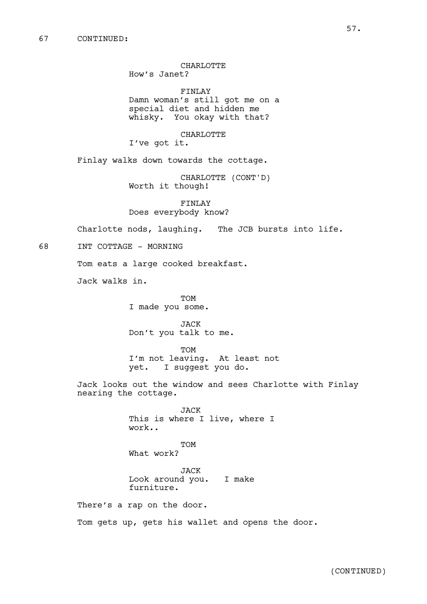CHARLOTTE

How's Janet?

FINLAY Damn woman's still got me on a special diet and hidden me whisky. You okay with that?

CHARLOTTE

I've got it.

Finlay walks down towards the cottage.

CHARLOTTE (CONT'D) Worth it though!

FINLAY Does everybody know?

Charlotte nods, laughing. The JCB bursts into life.

68 INT COTTAGE - MORNING

Tom eats a large cooked breakfast.

Jack walks in.

TOM I made you some.

JACK Don't you talk to me.

TOM I'm not leaving. At least not yet. I suggest you do.

Jack looks out the window and sees Charlotte with Finlay nearing the cottage.

> JACK This is where I live, where I work..

TOM What work?

JACK Look around you. I make furniture.

There's a rap on the door.

Tom gets up, gets his wallet and opens the door.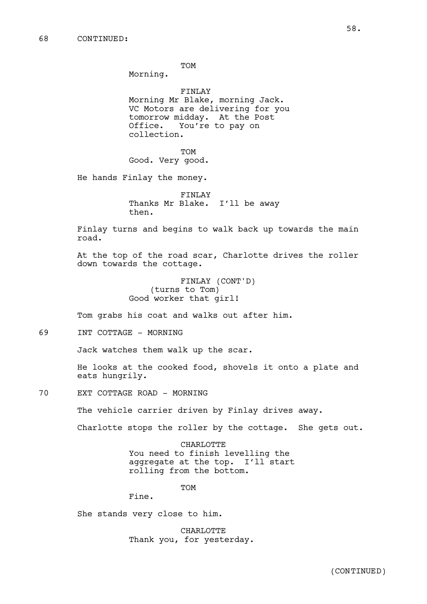TOM

Morning.

FINLAY Morning Mr Blake, morning Jack. VC Motors are delivering for you tomorrow midday. At the Post Office. You're to pay on collection.

**TOM** Good. Very good.

He hands Finlay the money.

FINLAY Thanks Mr Blake. I'll be away then.

Finlay turns and begins to walk back up towards the main road.

At the top of the road scar, Charlotte drives the roller down towards the cottage.

> FINLAY (CONT'D) (turns to Tom) Good worker that girl!

Tom grabs his coat and walks out after him.

69 INT COTTAGE - MORNING

Jack watches them walk up the scar.

He looks at the cooked food, shovels it onto a plate and eats hungrily.

70 EXT COTTAGE ROAD - MORNING

The vehicle carrier driven by Finlay drives away.

Charlotte stops the roller by the cottage. She gets out.

CHARLOTTE You need to finish levelling the aggregate at the top. I'll start rolling from the bottom.

TOM

Fine.

She stands very close to him.

CHARLOTTE Thank you, for yesterday.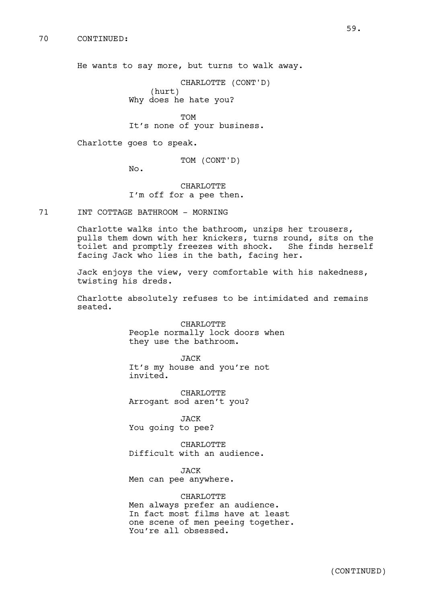70 CONTINUED:

He wants to say more, but turns to walk away.

CHARLOTTE (CONT'D) (hurt)

Why does he hate you?

**TOM** It's none of your business.

Charlotte goes to speak.

TOM (CONT'D)

No.

CHARLOTTE I'm off for a pee then.

71 INT COTTAGE BATHROOM - MORNING

Charlotte walks into the bathroom, unzips her trousers, pulls them down with her knickers, turns round, sits on the toilet and promptly freezes with shock. She finds herself facing Jack who lies in the bath, facing her.

Jack enjoys the view, very comfortable with his nakedness, twisting his dreds.

Charlotte absolutely refuses to be intimidated and remains seated.

> CHARLOTTE People normally lock doors when they use the bathroom.

JACK It's my house and you're not invited.

**CHARLOTTE** Arrogant sod aren't you?

JACK You going to pee?

CHARLOTTE Difficult with an audience.

JACK Men can pee anywhere.

CHARLOTTE Men always prefer an audience. In fact most films have at least one scene of men peeing together. You're all obsessed.

59.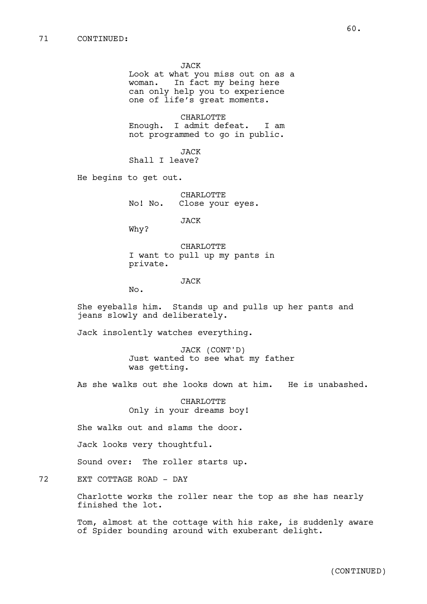JACK Look at what you miss out on as a woman. In fact my being here can only help you to experience one of life's great moments.

CHARLOTTE Enough. I admit defeat. I am not programmed to go in public.

JACK Shall I leave?

He begins to get out.

CHARLOTTE No! No. Close your eyes.

JACK

Why?

CHARLOTTE I want to pull up my pants in private.

JACK

No.

She eyeballs him. Stands up and pulls up her pants and jeans slowly and deliberately.

Jack insolently watches everything.

JACK (CONT'D) Just wanted to see what my father was getting.

As she walks out she looks down at him. He is unabashed.

CHARLOTTE Only in your dreams boy!

She walks out and slams the door.

Jack looks very thoughtful.

Sound over: The roller starts up.

72 EXT COTTAGE ROAD - DAY

Charlotte works the roller near the top as she has nearly finished the lot.

Tom, almost at the cottage with his rake, is suddenly aware of Spider bounding around with exuberant delight.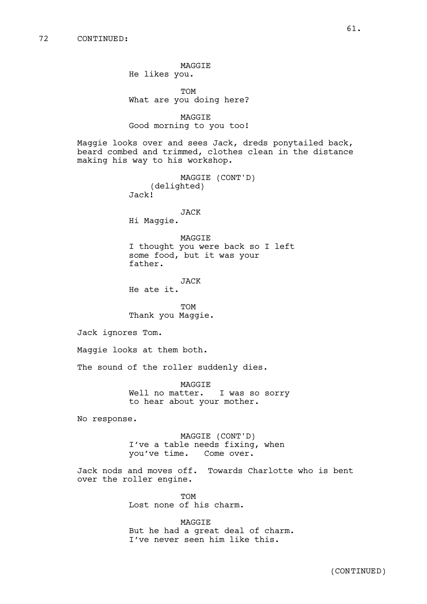MAGGIE He likes you.

TOM What are you doing here?

MAGGIE Good morning to you too!

Maggie looks over and sees Jack, dreds ponytailed back, beard combed and trimmed, clothes clean in the distance making his way to his workshop.

> MAGGIE (CONT'D) (delighted) Jack!

JACK Hi Maggie.

MAGGIE I thought you were back so I left some food, but it was your father.

JACK He ate it.

TOM Thank you Maggie.

Jack ignores Tom.

Maggie looks at them both.

The sound of the roller suddenly dies.

MAGGIE Well no matter. I was so sorry to hear about your mother.

No response.

MAGGIE (CONT'D) I've a table needs fixing, when you've time. Come over.

Jack nods and moves off. Towards Charlotte who is bent over the roller engine.

> **TOM** Lost none of his charm.

MAGGIE But he had a great deal of charm. I've never seen him like this.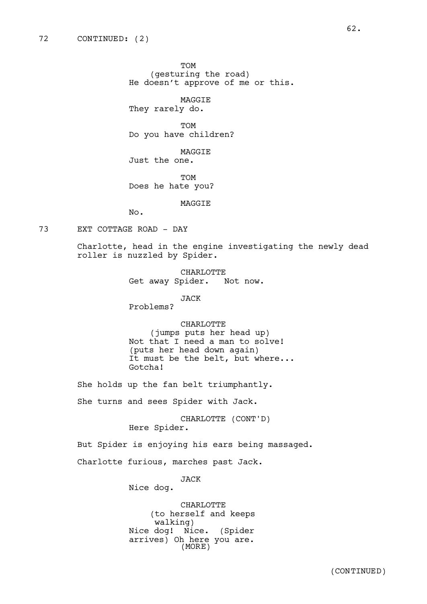TOM (gesturing the road) He doesn't approve of me or this.

MAGGIE They rarely do.

TOM Do you have children?

MAGGIE Just the one.

**TOM** Does he hate you?

MAGGIE

No.

# 73 EXT COTTAGE ROAD - DAY

Charlotte, head in the engine investigating the newly dead roller is nuzzled by Spider.

> CHARLOTTE Get away Spider. Not now.

> > JACK

Problems?

CHARLOTTE

(jumps puts her head up) Not that I need a man to solve! (puts her head down again) It must be the belt, but where... Gotcha!

She holds up the fan belt triumphantly.

She turns and sees Spider with Jack.

CHARLOTTE (CONT'D) Here Spider.

But Spider is enjoying his ears being massaged.

Charlotte furious, marches past Jack.

JACK

Nice dog.

CHARLOTTE (to herself and keeps walking) Nice dog! Nice. (Spider arrives) Oh here you are. (MORE)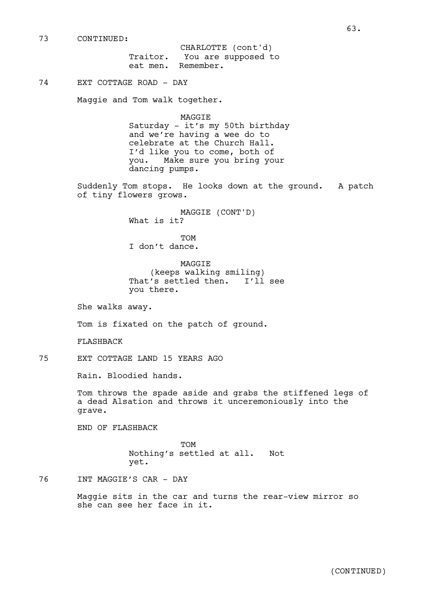73 CONTINUED:

Traitor. You are supposed to eat men. Remember. CHARLOTTE (cont'd)

# 74 EXT COTTAGE ROAD - DAY

Maggie and Tom walk together.

MAGGIE Saturday - it's my 50th birthday and we're having a wee do to celebrate at the Church Hall. I'd like you to come, both of you. Make sure you bring your dancing pumps.

Suddenly Tom stops. He looks down at the ground. A patch of tiny flowers grows.

> MAGGIE (CONT'D) What is it?

**TOM** I don't dance.

MAGGIE (keeps walking smiling) That's settled then. I'll see you there.

She walks away.

Tom is fixated on the patch of ground.

FLASHBACK

75 EXT COTTAGE LAND 15 YEARS AGO

Rain. Bloodied hands.

Tom throws the spade aside and grabs the stiffened legs of a dead Alsation and throws it unceremoniously into the grave.

END OF FLASHBACK

TOM Nothing's settled at all. Not yet.

76 INT MAGGIE'S CAR - DAY

Maggie sits in the car and turns the rear-view mirror so she can see her face in it.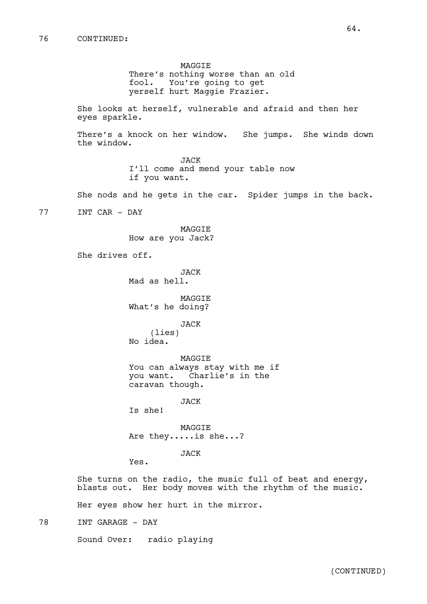MAGGIE There's nothing worse than an old fool. You're going to get yerself hurt Maggie Frazier.

She looks at herself, vulnerable and afraid and then her eyes sparkle.

There's a knock on her window. She jumps. She winds down the window.

> JACK I'll come and mend your table now if you want.

She nods and he gets in the car. Spider jumps in the back.

77 INT CAR - DAY

MAGGIE How are you Jack?

She drives off.

JACK Mad as hell.

MAGGIE What's he doing?

JACK

(lies) No idea.

MAGGIE You can always stay with me if you want. Charlie's in the caravan though.

JACK

Is she!

MAGGIE Are they.....is she...?

JACK

Yes.

She turns on the radio, the music full of beat and energy, blasts out. Her body moves with the rhythm of the music.

Her eyes show her hurt in the mirror.

78 INT GARAGE - DAY

Sound Over: radio playing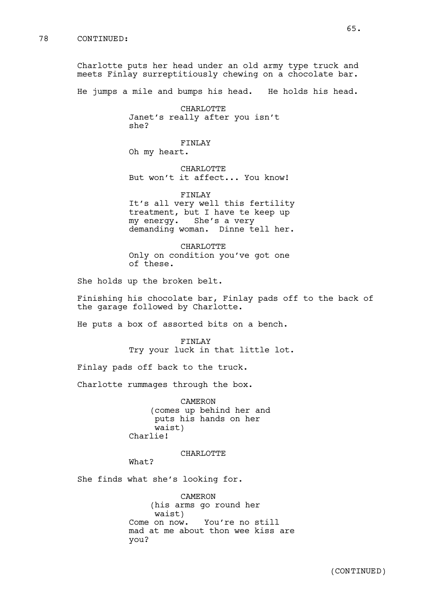Charlotte puts her head under an old army type truck and meets Finlay surreptitiously chewing on a chocolate bar.

He jumps a mile and bumps his head. He holds his head.

CHARLOTTE Janet's really after you isn't she?

FINLAY Oh my heart.

CHARLOTTE But won't it affect... You know!

FINLAY It's all very well this fertility treatment, but I have te keep up my energy. She's a very demanding woman. Dinne tell her.

CHARLOTTE Only on condition you've got one of these.

She holds up the broken belt.

Finishing his chocolate bar, Finlay pads off to the back of the garage followed by Charlotte.

He puts a box of assorted bits on a bench.

FINLAY Try your luck in that little lot.

Finlay pads off back to the truck.

Charlotte rummages through the box.

CAMERON (comes up behind her and puts his hands on her waist) Charlie!

CHARLOTTE

What?

She finds what she's looking for.

CAMERON (his arms go round her waist) Come on now. You're no still mad at me about thon wee kiss are you?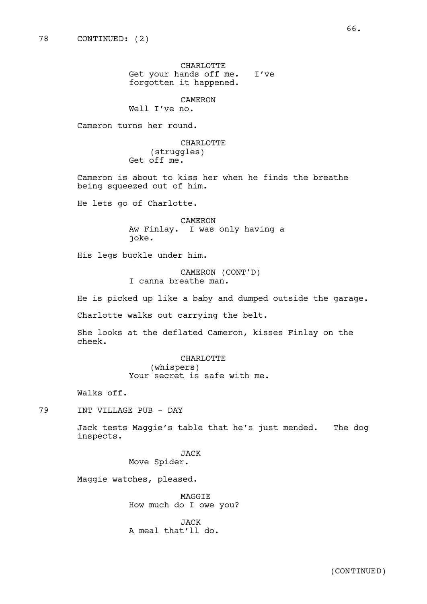CHARLOTTE Get your hands off me. I've forgotten it happened.

# CAMERON

Well I've no.

Cameron turns her round.

CHARLOTTE (struggles) Get off me.

Cameron is about to kiss her when he finds the breathe being squeezed out of him.

He lets go of Charlotte.

CAMERON Aw Finlay. I was only having a joke.

His legs buckle under him.

CAMERON (CONT'D) I canna breathe man.

He is picked up like a baby and dumped outside the garage.

Charlotte walks out carrying the belt.

She looks at the deflated Cameron, kisses Finlay on the cheek.

> CHARLOTTE (whispers) Your secret is safe with me.

Walks off.

79 INT VILLAGE PUB - DAY

Jack tests Maggie's table that he's just mended. The dog inspects.

> JACK Move Spider.

Maggie watches, pleased.

MAGGIE How much do I owe you?

JACK A meal that'll do.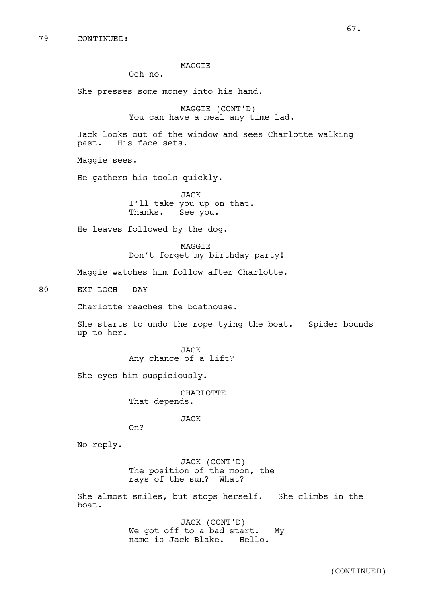# MAGGIE

Och no.

She presses some money into his hand.

MAGGIE (CONT'D) You can have a meal any time lad.

Jack looks out of the window and sees Charlotte walking past. His face sets.

Maggie sees.

He gathers his tools quickly.

JACK I'll take you up on that. Thanks. See you.

He leaves followed by the dog.

MAGGIE Don't forget my birthday party!

Maggie watches him follow after Charlotte.

80 EXT LOCH - DAY

Charlotte reaches the boathouse.

She starts to undo the rope tying the boat. Spider bounds up to her.

> JACK Any chance of a lift?

She eyes him suspiciously.

CHARLOTTE That depends.

JACK

On?

No reply.

JACK (CONT'D) The position of the moon, the rays of the sun? What?

She almost smiles, but stops herself. She climbs in the boat.

> JACK (CONT'D) We got off to a bad start. My name is Jack Blake. Hello.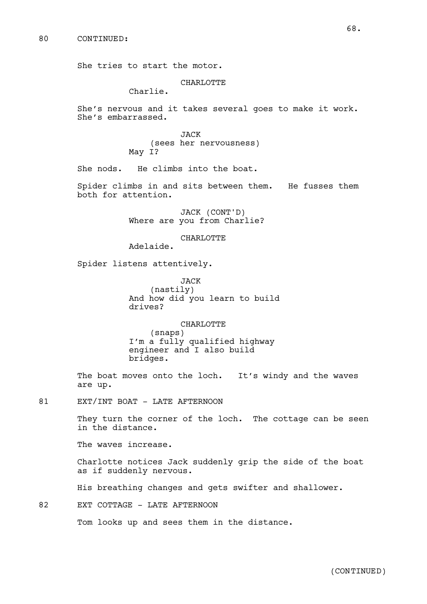She tries to start the motor.

#### **CHARLOTTE**

Charlie.

She's nervous and it takes several goes to make it work. She's embarrassed.

> JACK (sees her nervousness) May I?

She nods. He climbs into the boat.

Spider climbs in and sits between them. He fusses them both for attention.

> JACK (CONT'D) Where are you from Charlie?

> > **CHARLOTTE**

Adelaide.

Spider listens attentively.

JACK (nastily) And how did you learn to build drives?

CHARLOTTE (snaps) I'm a fully qualified highway engineer and I also build bridges.

The boat moves onto the loch. It's windy and the waves are up.

81 EXT/INT BOAT - LATE AFTERNOON

They turn the corner of the loch. The cottage can be seen in the distance.

The waves increase.

Charlotte notices Jack suddenly grip the side of the boat as if suddenly nervous.

His breathing changes and gets swifter and shallower.

82 EXT COTTAGE - LATE AFTERNOON

Tom looks up and sees them in the distance.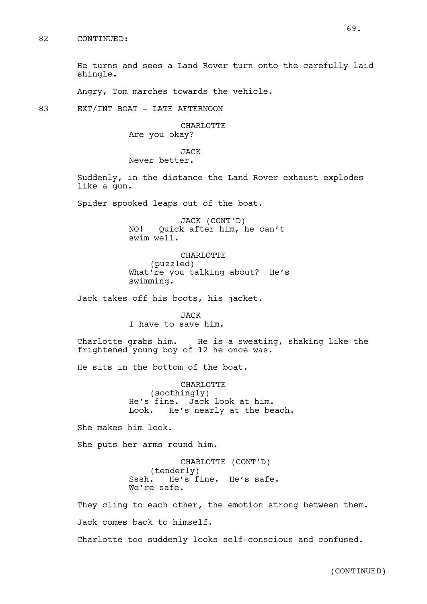He turns and sees a Land Rover turn onto the carefully laid shingle.

Angry, Tom marches towards the vehicle.

83 EXT/INT BOAT - LATE AFTERNOON

CHARLOTTE Are you okay?

JACK Never better.

Suddenly, in the distance the Land Rover exhaust explodes like a gun.

Spider spooked leaps out of the boat.

JACK (CONT'D) NO! Quick after him, he can't swim well.

CHARLOTTE (puzzled) What're you talking about? He's swimming.

Jack takes off his boots, his jacket.

JACK I have to save him.

Charlotte grabs him. He is a sweating, shaking like the frightened young boy of 12 he once was.

He sits in the bottom of the boat.

CHARLOTTE (soothingly) He's fine. Jack look at him. Look. He's nearly at the beach.

She makes him look.

She puts her arms round him.

CHARLOTTE (CONT'D) (tenderly) Sssh. He's fine. He's safe. We're safe.

They cling to each other, the emotion strong between them. Jack comes back to himself.

Charlotte too suddenly looks self-conscious and confused.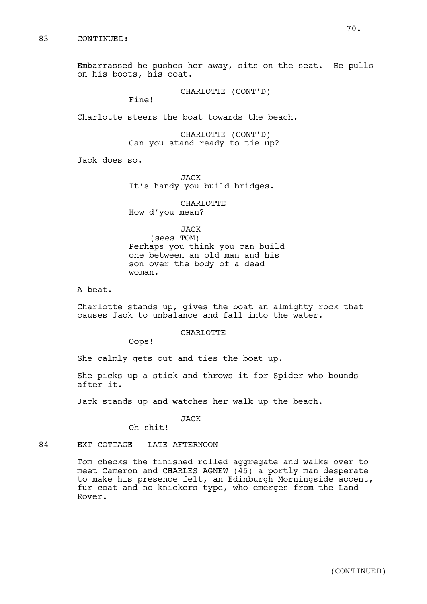Embarrassed he pushes her away, sits on the seat. He pulls on his boots, his coat.

CHARLOTTE (CONT'D)

Fine!

Charlotte steers the boat towards the beach.

CHARLOTTE (CONT'D) Can you stand ready to tie up?

Jack does so.

JACK It's handy you build bridges.

CHARLOTTE How d'you mean?

```
JACK
```
(sees TOM) Perhaps you think you can build one between an old man and his son over the body of a dead woman.

A beat.

Charlotte stands up, gives the boat an almighty rock that causes Jack to unbalance and fall into the water.

#### CHARLOTTE

Oops!

She calmly gets out and ties the boat up.

She picks up a stick and throws it for Spider who bounds after it.

Jack stands up and watches her walk up the beach.

# JACK

Oh shit!

84 EXT COTTAGE - LATE AFTERNOON

Tom checks the finished rolled aggregate and walks over to meet Cameron and CHARLES AGNEW (45) a portly man desperate to make his presence felt, an Edinburgh Morningside accent, fur coat and no knickers type, who emerges from the Land Rover.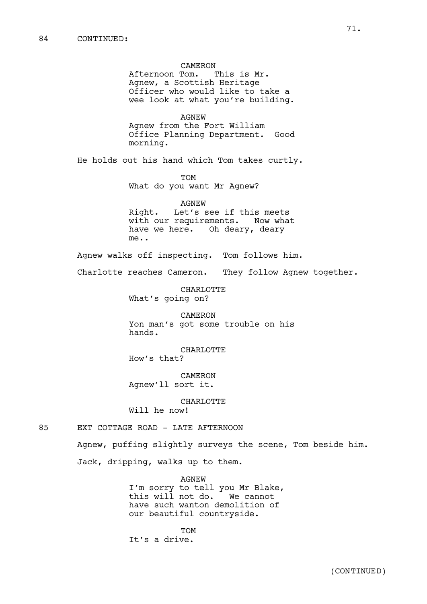CAMERON Afternoon Tom. This is Mr. Agnew, a Scottish Heritage Officer who would like to take a wee look at what you're building. AGNEW Agnew from the Fort William Office Planning Department. Good morning. He holds out his hand which Tom takes curtly. TOM What do you want Mr Agnew? AGNEW Right. Let's see if this meets with our requirements. Now what have we here. Oh deary, deary me.. Agnew walks off inspecting. Tom follows him. Charlotte reaches Cameron. They follow Agnew together. CHARLOTTE What's going on? CAMERON Yon man's got some trouble on his hands. CHARLOTTE How's that? CAMERON Agnew'll sort it. CHARLOTTE Will he now! 85 EXT COTTAGE ROAD - LATE AFTERNOON Agnew, puffing slightly surveys the scene, Tom beside him. Jack, dripping, walks up to them. AGNEW

I'm sorry to tell you Mr Blake, this will not do. We cannot have such wanton demolition of our beautiful countryside.

TOM It's a drive.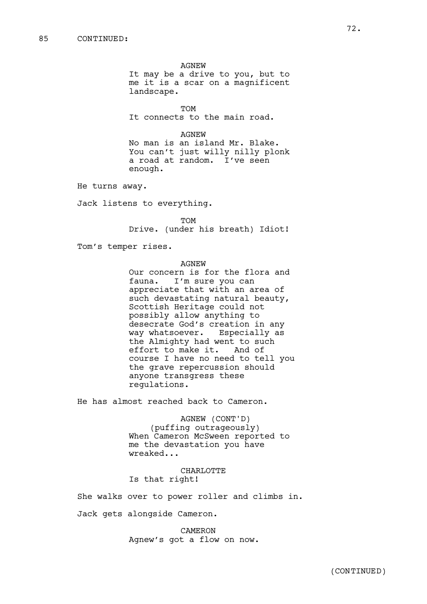AGNEW It may be a drive to you, but to me it is a scar on a magnificent landscape.

TOM

It connects to the main road.

AGNEW

No man is an island Mr. Blake. You can't just willy nilly plonk a road at random. I've seen enough.

He turns away.

Jack listens to everything.

**TOM** Drive. (under his breath) Idiot!

Tom's temper rises.

AGNEW

Our concern is for the flora and fauna. I'm sure you can appreciate that with an area of such devastating natural beauty, Scottish Heritage could not possibly allow anything to desecrate God's creation in any way whatsoever. Especially as the Almighty had went to such effort to make it. And of course I have no need to tell you the grave repercussion should anyone transgress these regulations.

He has almost reached back to Cameron.

AGNEW (CONT'D) (puffing outrageously) When Cameron McSween reported to me the devastation you have wreaked...

CHARLOTTE Is that right!

She walks over to power roller and climbs in.

Jack gets alongside Cameron.

CAMERON Agnew's got a flow on now.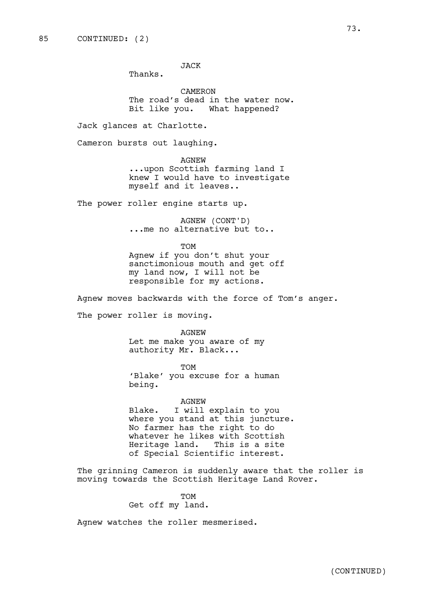JACK

Thanks.

CAMERON The road's dead in the water now. Bit like you. What happened?

Jack glances at Charlotte.

Cameron bursts out laughing.

AGNEW ...upon Scottish farming land I knew I would have to investigate myself and it leaves..

The power roller engine starts up.

AGNEW (CONT'D) ...me no alternative but to..

**TOM** 

Agnew if you don't shut your sanctimonious mouth and get off my land now, I will not be responsible for my actions.

Agnew moves backwards with the force of Tom's anger.

The power roller is moving.

AGNEW

Let me make you aware of my authority Mr. Black...

TOM 'Blake' you excuse for a human being.

AGNEW

Blake. I will explain to you where you stand at this juncture. No farmer has the right to do whatever he likes with Scottish Heritage land. This is a site of Special Scientific interest.

The grinning Cameron is suddenly aware that the roller is moving towards the Scottish Heritage Land Rover.

> TOM Get off my land.

Agnew watches the roller mesmerised.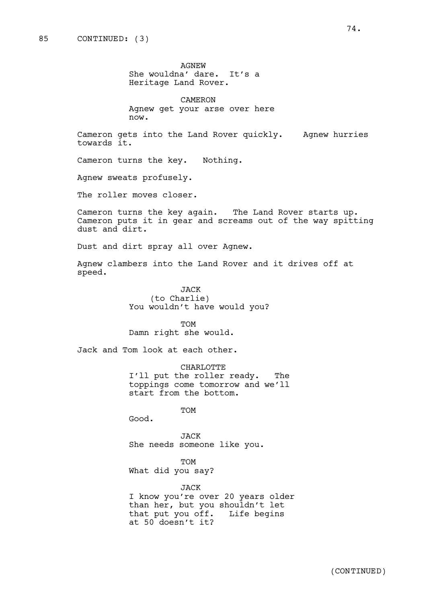AGNEW She wouldna' dare. It's a Heritage Land Rover.

CAMERON Agnew get your arse over here now.

Cameron gets into the Land Rover quickly. Agnew hurries towards it.

Cameron turns the key. Nothing.

Agnew sweats profusely.

The roller moves closer.

Cameron turns the key again. The Land Rover starts up. Cameron puts it in gear and screams out of the way spitting dust and dirt.

Dust and dirt spray all over Agnew.

Agnew clambers into the Land Rover and it drives off at speed.

> JACK (to Charlie) You wouldn't have would you?

TOM Damn right she would.

Jack and Tom look at each other.

CHARLOTTE I'll put the roller ready. The toppings come tomorrow and we'll start from the bottom.

TOM

Good.

JACK She needs someone like you.

TOM What did you say?

at 50 doesn't it?

JACK I know you're over 20 years older than her, but you shouldn't let that put you off. Life begins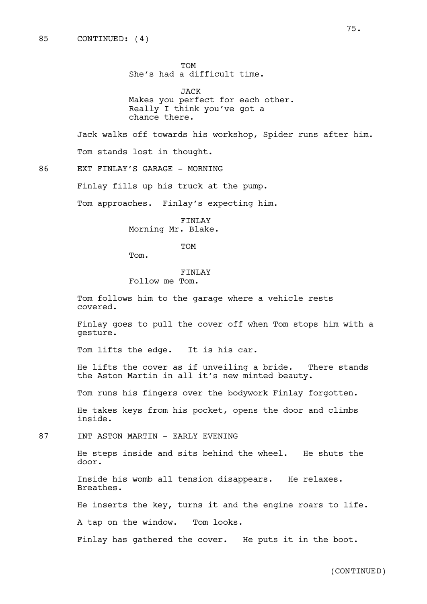TOM She's had a difficult time.

JACK Makes you perfect for each other. Really I think you've got a chance there.

Jack walks off towards his workshop, Spider runs after him. Tom stands lost in thought.

86 EXT FINLAY'S GARAGE - MORNING

Finlay fills up his truck at the pump.

Tom approaches. Finlay's expecting him.

FINLAY Morning Mr. Blake.

**TOM** 

Tom.

### FINLAY

Follow me Tom.

Tom follows him to the garage where a vehicle rests covered.

Finlay goes to pull the cover off when Tom stops him with a gesture.

Tom lifts the edge. It is his car.

He lifts the cover as if unveiling a bride. There stands the Aston Martin in all it's new minted beauty.

Tom runs his fingers over the bodywork Finlay forgotten.

He takes keys from his pocket, opens the door and climbs inside.

87 INT ASTON MARTIN - EARLY EVENING

He steps inside and sits behind the wheel. He shuts the door.

Inside his womb all tension disappears. He relaxes. Breathes.

He inserts the key, turns it and the engine roars to life.

A tap on the window. Tom looks.

Finlay has gathered the cover. He puts it in the boot.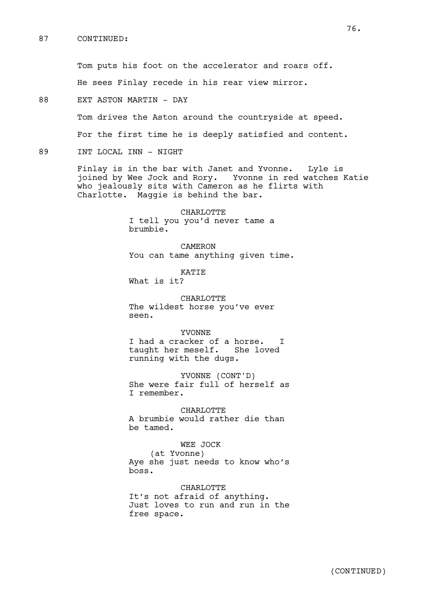### 87 CONTINUED:

Tom puts his foot on the accelerator and roars off.

He sees Finlay recede in his rear view mirror.

88 EXT ASTON MARTIN - DAY

Tom drives the Aston around the countryside at speed.

For the first time he is deeply satisfied and content.

89 INT LOCAL INN - NIGHT

Finlay is in the bar with Janet and Yvonne. Lyle is joined by Wee Jock and Rory. Yvonne in red watches Katie who jealously sits with Cameron as he flirts with Charlotte. Maggie is behind the bar.

> CHARLOTTE I tell you you'd never tame a brumbie.

CAMERON You can tame anything given time.

KATIE

What is it?

CHARLOTTE The wildest horse you've ever seen.

### YVONNE

I had a cracker of a horse. I taught her meself. She loved running with the dugs.

YVONNE (CONT'D) She were fair full of herself as I remember.

CHARLOTTE A brumbie would rather die than be tamed.

WEE JOCK (at Yvonne) Aye she just needs to know who's boss.

CHARLOTTE It's not afraid of anything. Just loves to run and run in the free space.

76.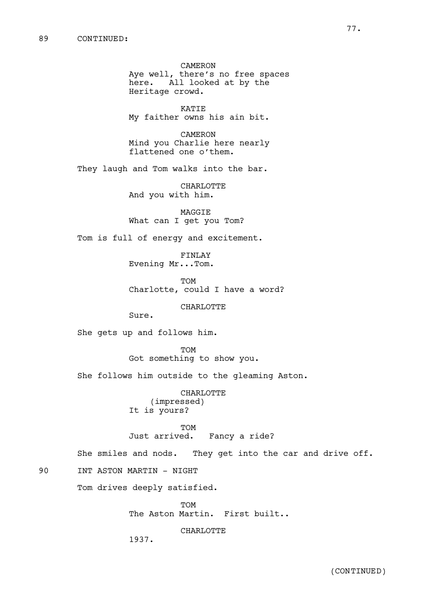CAMERON Aye well, there's no free spaces here. All looked at by the Heritage crowd.

KATIE My faither owns his ain bit.

CAMERON Mind you Charlie here nearly flattened one o'them.

They laugh and Tom walks into the bar.

CHARLOTTE And you with him.

MAGGIE What can I get you Tom?

Tom is full of energy and excitement.

FINLAY Evening Mr...Tom.

TOM Charlotte, could I have a word?

CHARLOTTE

Sure.

She gets up and follows him.

TOM Got something to show you.

She follows him outside to the gleaming Aston.

CHARLOTTE (impressed) It is yours?

TOM<br>Just arrived. Fancy a ride?

She smiles and nods. They get into the car and drive off.

90 INT ASTON MARTIN - NIGHT

Tom drives deeply satisfied.

TOM The Aston Martin. First built..

CHARLOTTE

1937.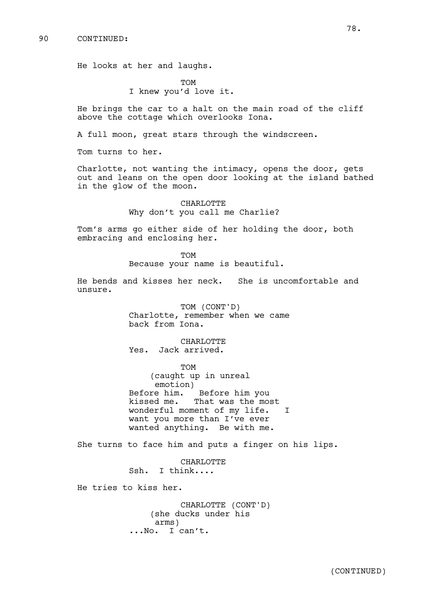He looks at her and laughs.

**TOM** I knew you'd love it.

He brings the car to a halt on the main road of the cliff above the cottage which overlooks Iona.

A full moon, great stars through the windscreen.

Tom turns to her.

Charlotte, not wanting the intimacy, opens the door, gets out and leans on the open door looking at the island bathed in the glow of the moon.

> CHARLOTTE Why don't you call me Charlie?

Tom's arms go either side of her holding the door, both embracing and enclosing her.

> TOM Because your name is beautiful.

He bends and kisses her neck. She is uncomfortable and unsure.

> TOM (CONT'D) Charlotte, remember when we came back from Iona.

CHARLOTTE Yes. Jack arrived.

TOM (caught up in unreal emotion) Before him. Before him you kissed me. That was the most wonderful moment of my life. I want you more than I've ever wanted anything. Be with me.

She turns to face him and puts a finger on his lips.

CHARLOTTE Ssh. I think....

He tries to kiss her.

CHARLOTTE (CONT'D) (she ducks under his arms) ...No. I can't.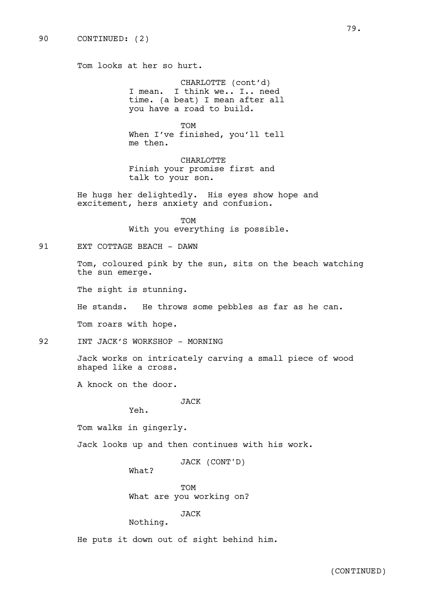Tom looks at her so hurt.

CHARLOTTE (cont'd) I mean. I think we.. I.. need time. (a beat) I mean after all you have a road to build.

TOM When I've finished, you'll tell me then.

CHARLOTTE Finish your promise first and talk to your son.

He hugs her delightedly. His eyes show hope and excitement, hers anxiety and confusion.

> TOM With you everything is possible.

91 EXT COTTAGE BEACH - DAWN

Tom, coloured pink by the sun, sits on the beach watching the sun emerge.

The sight is stunning.

He stands. He throws some pebbles as far as he can.

Tom roars with hope.

92 INT JACK'S WORKSHOP - MORNING

Jack works on intricately carving a small piece of wood shaped like a cross.

A knock on the door.

JACK

Yeh.

Tom walks in gingerly.

Jack looks up and then continues with his work.

JACK (CONT'D)

What?

TOM What are you working on?

JACK

Nothing.

He puts it down out of sight behind him.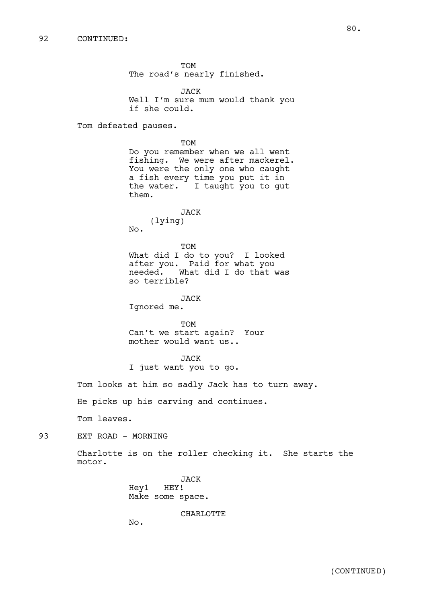TOM The road's nearly finished.

JACK Well I'm sure mum would thank you if she could.

Tom defeated pauses.

TOM Do you remember when we all went fishing. We were after mackerel. You were the only one who caught a fish every time you put it in the water. I taught you to gut them.

JACK (lying) No.

TOM What did I do to you? I looked after you. Paid for what you<br>needed. What did I do that What did I do that was so terrible?

JACK

Ignored me.

TOM Can't we start again? Your mother would want us..

JACK I just want you to go.

Tom looks at him so sadly Jack has to turn away.

He picks up his carving and continues.

Tom leaves.

93 EXT ROAD - MORNING

Charlotte is on the roller checking it. She starts the motor.

> JACK Hey1 HEY! Make some space.

### CHARLOTTE

No.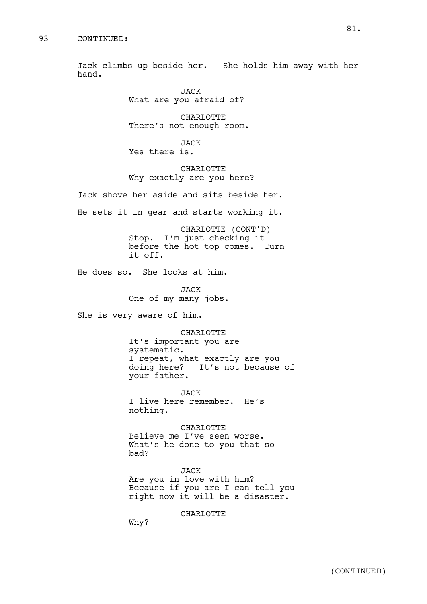Jack climbs up beside her. She holds him away with her hand.

> JACK What are you afraid of?

CHARLOTTE There's not enough room.

JACK Yes there is.

CHARLOTTE Why exactly are you here?

Jack shove her aside and sits beside her.

He sets it in gear and starts working it.

CHARLOTTE (CONT'D) Stop. I'm just checking it before the hot top comes. Turn it off.

He does so. She looks at him.

JACK One of my many jobs.

She is very aware of him.

CHARLOTTE It's important you are systematic. I repeat, what exactly are you doing here? It's not because of your father.

JACK I live here remember. He's nothing.

CHARLOTTE Believe me I've seen worse. What's he done to you that so bad?

JACK Are you in love with him? Because if you are I can tell you right now it will be a disaster.

CHARLOTTE

Why?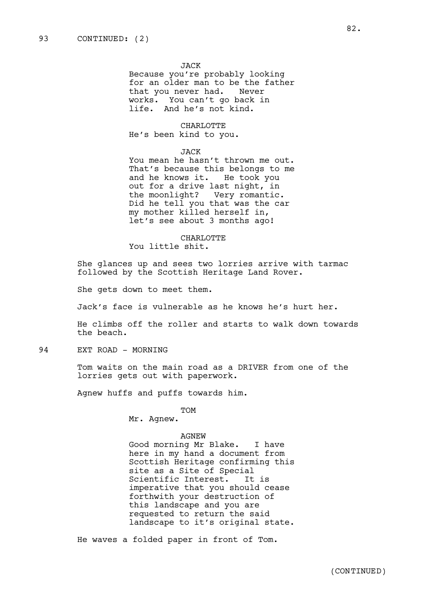#### JACK

Because you're probably looking for an older man to be the father that you never had. Never works. You can't go back in life. And he's not kind.

### CHARLOTTE

He's been kind to you.

## JACK

You mean he hasn't thrown me out. That's because this belongs to me and he knows it. He took you out for a drive last night, in the moonlight? Very romantic. Did he tell you that was the car my mother killed herself in, let's see about 3 months ago!

CHARLOTTE You little shit.

She glances up and sees two lorries arrive with tarmac followed by the Scottish Heritage Land Rover.

She gets down to meet them.

Jack's face is vulnerable as he knows he's hurt her.

He climbs off the roller and starts to walk down towards the beach.

94 EXT ROAD - MORNING

Tom waits on the main road as a DRIVER from one of the lorries gets out with paperwork.

Agnew huffs and puffs towards him.

TOM

Mr. Agnew.

#### AGNEW

Good morning Mr Blake. I have here in my hand a document from Scottish Heritage confirming this site as a Site of Special Scientific Interest. It is imperative that you should cease forthwith your destruction of this landscape and you are requested to return the said landscape to it's original state.

He waves a folded paper in front of Tom.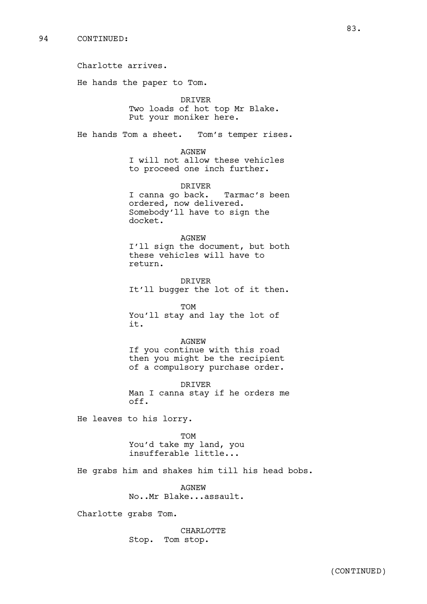Charlotte arrives. He hands the paper to Tom. DRIVER Two loads of hot top Mr Blake. Put your moniker here. He hands Tom a sheet. Tom's temper rises. AGNEW I will not allow these vehicles to proceed one inch further. DRIVER I canna go back. Tarmac's been ordered, now delivered. Somebody'll have to sign the docket. AGNEW I'll sign the document, but both these vehicles will have to return. DRIVER It'll bugger the lot of it then. TOM You'll stay and lay the lot of it. AGNEW If you continue with this road then you might be the recipient of a compulsory purchase order. DRIVER Man I canna stay if he orders me off. He leaves to his lorry. TOM You'd take my land, you insufferable little... He grabs him and shakes him till his head bobs. AGNEW No..Mr Blake...assault. Charlotte grabs Tom.

> CHARLOTTE Stop. Tom stop.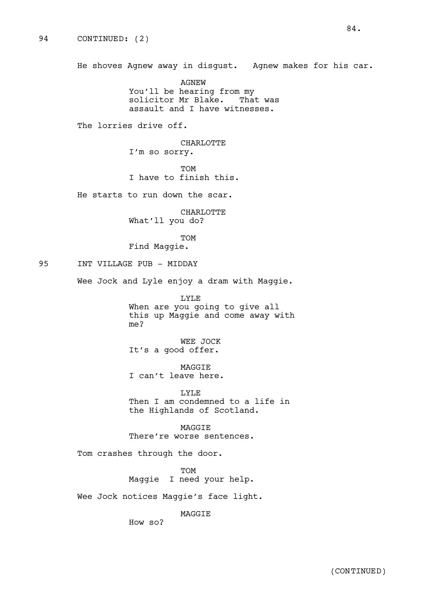He shoves Agnew away in disgust. Agnew makes for his car.

AGNEW You'll be hearing from my solicitor Mr Blake. That was assault and I have witnesses.

The lorries drive off.

CHARLOTTE I'm so sorry.

TOM I have to finish this.

He starts to run down the scar.

CHARLOTTE What'll you do?

TOM

Find Maggie.

95 INT VILLAGE PUB - MIDDAY

Wee Jock and Lyle enjoy a dram with Maggie.

LYLE When are you going to give all this up Maggie and come away with me?

WEE JOCK It's a good offer.

MAGGIE I can't leave here.

LYLE Then I am condemned to a life in the Highlands of Scotland.

MAGGIE There're worse sentences.

Tom crashes through the door.

TOM Maggie I need your help.

Wee Jock notices Maggie's face light.

MAGGIE

How so?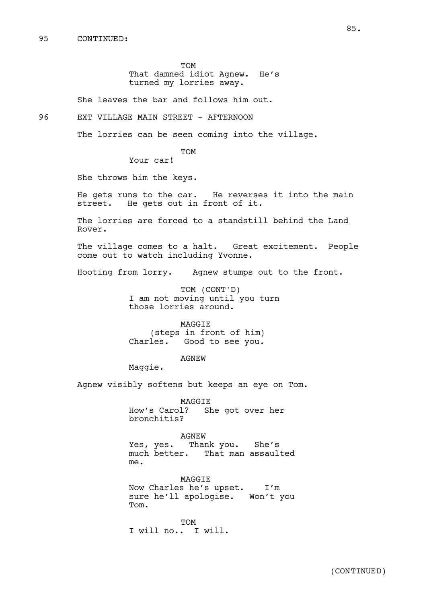TOM That damned idiot Agnew. He's turned my lorries away.

She leaves the bar and follows him out.

96 EXT VILLAGE MAIN STREET - AFTERNOON

The lorries can be seen coming into the village.

TOM

Your car!

She throws him the keys.

He gets runs to the car. He reverses it into the main street. He gets out in front of it.

The lorries are forced to a standstill behind the Land Rover.

The village comes to a halt. Great excitement. People come out to watch including Yvonne.

Hooting from lorry. Agnew stumps out to the front.

TOM (CONT'D) I am not moving until you turn those lorries around.

MAGGIE (steps in front of him) Charles. Good to see you.

AGNEW

Maggie.

Agnew visibly softens but keeps an eye on Tom.

MAGGIE How's Carol? She got over her bronchitis?

AGNEW Yes, yes. Thank you. She's much better. That man assaulted me.

MAGGIE Now Charles he's upset. I'm sure he'll apologise. Won't you Tom.

TOM I will no.. I will.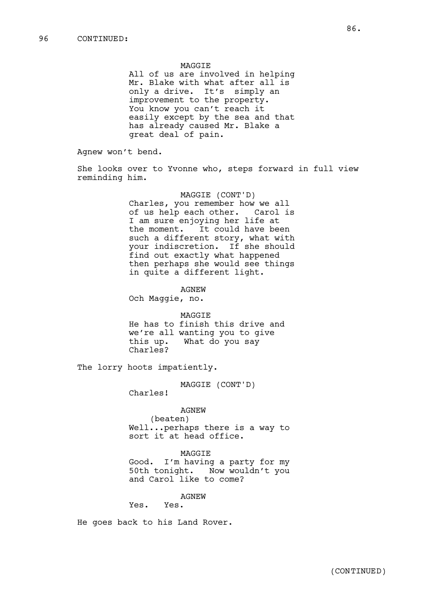MAGGIE All of us are involved in helping Mr. Blake with what after all is only a drive. It's simply an improvement to the property. You know you can't reach it easily except by the sea and that has already caused Mr. Blake a great deal of pain.

Agnew won't bend.

She looks over to Yvonne who, steps forward in full view reminding him.

> MAGGIE (CONT'D) Charles, you remember how we all of us help each other. Carol is I am sure enjoying her life at the moment. It could have been such a different story, what with your indiscretion. If she should find out exactly what happened then perhaps she would see things in quite a different light.

AGNEW Och Maggie, no.

MAGGIE He has to finish this drive and we're all wanting you to give this up. What do you say Charles?

The lorry hoots impatiently.

MAGGIE (CONT'D)

Charles!

AGNEW

(beaten) Well...perhaps there is a way to sort it at head office.

MAGGIE

Good. I'm having a party for my 50th tonight. Now wouldn't you and Carol like to come?

AGNEW

Yes. Yes.

He goes back to his Land Rover.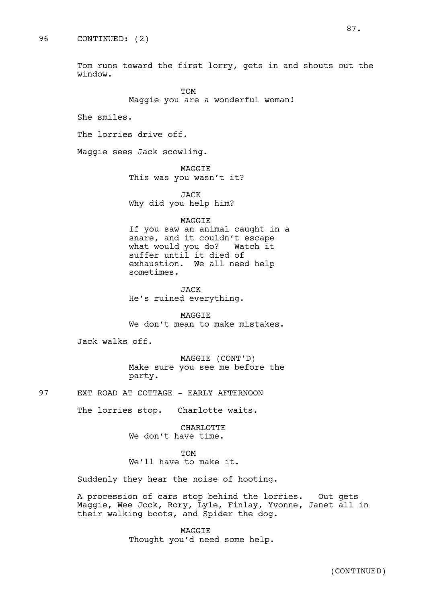Tom runs toward the first lorry, gets in and shouts out the window.

> TOM Maggie you are a wonderful woman!

She smiles.

The lorries drive off.

Maggie sees Jack scowling.

MAGGIE This was you wasn't it?

JACK Why did you help him?

### MAGGIE

If you saw an animal caught in a snare, and it couldn't escape what would you do? Watch it suffer until it died of exhaustion. We all need help sometimes.

JACK He's ruined everything.

MAGGIE We don't mean to make mistakes.

Jack walks off.

MAGGIE (CONT'D) Make sure you see me before the party.

97 EXT ROAD AT COTTAGE - EARLY AFTERNOON

The lorries stop. Charlotte waits.

CHARLOTTE We don't have time.

TOM We'll have to make it.

Suddenly they hear the noise of hooting.

A procession of cars stop behind the lorries. Out gets Maggie, Wee Jock, Rory, Lyle, Finlay, Yvonne, Janet all in their walking boots, and Spider the dog.

> MAGGIE Thought you'd need some help.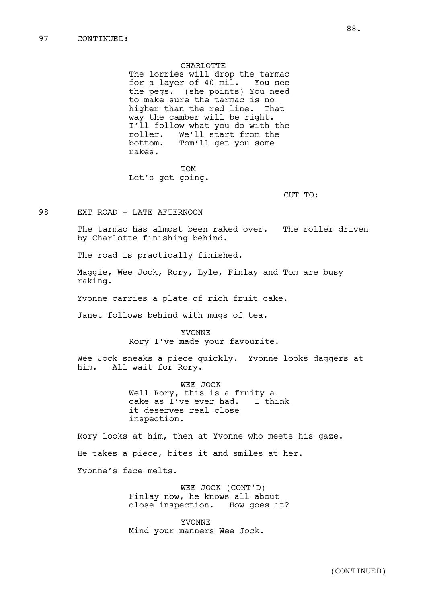CHARLOTTE The lorries will drop the tarmac for a layer of 40 mil. You see the pegs. (she points) You need to make sure the tarmac is no higher than the red line. That way the camber will be right. I'll follow what you do with the roller. We'll start from the bottom. Tom'll get you some rakes.

**TOM** Let's get going.

CUT TO:

98 EXT ROAD - LATE AFTERNOON

The tarmac has almost been raked over. The roller driven by Charlotte finishing behind.

The road is practically finished.

Maggie, Wee Jock, Rory, Lyle, Finlay and Tom are busy raking.

Yvonne carries a plate of rich fruit cake.

Janet follows behind with mugs of tea.

YVONNE Rory I've made your favourite.

Wee Jock sneaks a piece quickly. Yvonne looks daggers at him. All wait for Rory.

> WEE JOCK Well Rory, this is a fruity a<br>cake as I've ever had. I think cake as  $I$ 've ever had. it deserves real close inspection.

Rory looks at him, then at Yvonne who meets his gaze.

He takes a piece, bites it and smiles at her.

Yvonne's face melts.

WEE JOCK (CONT'D) Finlay now, he knows all about close inspection. How goes it?

YVONNE Mind your manners Wee Jock.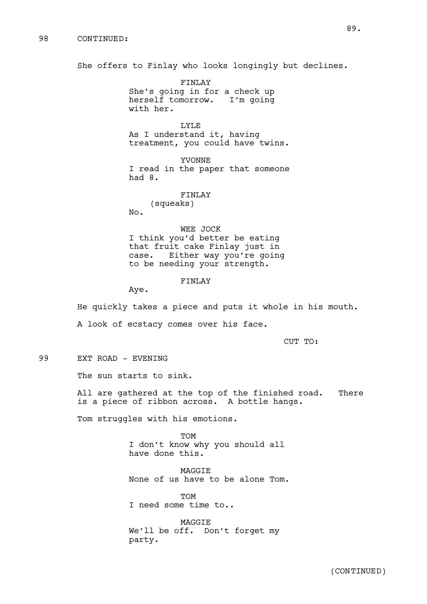She offers to Finlay who looks longingly but declines.

FINLAY She's going in for a check up herself tomorrow. I'm going with her.

LYLE As I understand it, having treatment, you could have twins.

YVONNE I read in the paper that someone had 8.

FINLAY

(squeaks) No.

WEE JOCK I think you'd better be eating that fruit cake Finlay just in case. Either way you're going to be needing your strength.

FINLAY

Aye.

He quickly takes a piece and puts it whole in his mouth. A look of ecstacy comes over his face.

CUT TO:

99 EXT ROAD - EVENING

The sun starts to sink.

All are gathered at the top of the finished road. There is a piece of ribbon across. A bottle hangs.

Tom struggles with his emotions.

TOM I don't know why you should all have done this.

MAGGIE None of us have to be alone Tom.

**TOM** I need some time to..

MAGGIE We'll be off. Don't forget my party.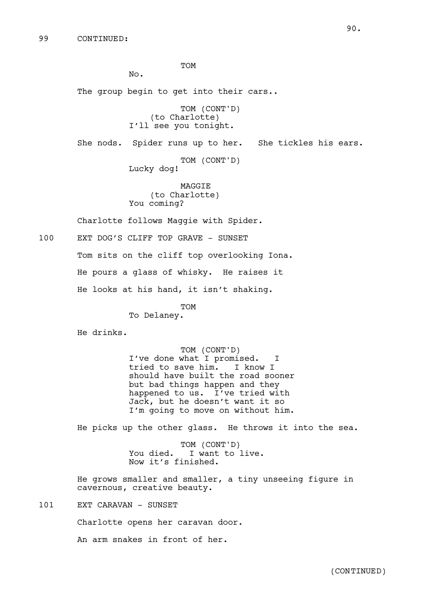TOM

No.

The group begin to get into their cars..

TOM (CONT'D) (to Charlotte) I'll see you tonight.

She nods. Spider runs up to her. She tickles his ears. TOM (CONT'D)

Lucky dog!

MAGGIE (to Charlotte) You coming?

Charlotte follows Maggie with Spider.

100 EXT DOG'S CLIFF TOP GRAVE - SUNSET

Tom sits on the cliff top overlooking Iona.

He pours a glass of whisky. He raises it

He looks at his hand, it isn't shaking.

TOM

To Delaney.

He drinks.

TOM (CONT'D) I've done what I promised. I tried to save him. I know I should have built the road sooner but bad things happen and they happened to us. I've tried with Jack, but he doesn't want it so I'm going to move on without him.

He picks up the other glass. He throws it into the sea.

TOM (CONT'D) You died. I want to live. Now it's finished.

He grows smaller and smaller, a tiny unseeing figure in cavernous, creative beauty.

101 EXT CARAVAN - SUNSET

Charlotte opens her caravan door.

An arm snakes in front of her.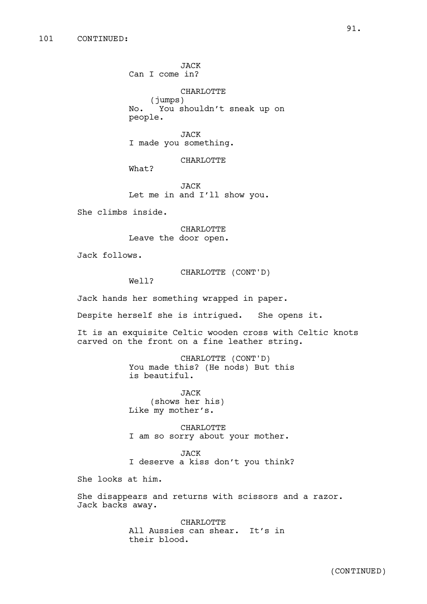JACK Can I come in?

CHARLOTTE (jumps) No. You shouldn't sneak up on people.

JACK I made you something.

CHARLOTTE

What?

JACK Let me in and I'll show you.

She climbs inside.

CHARLOTTE Leave the door open.

Jack follows.

CHARLOTTE (CONT'D)

Well?

Jack hands her something wrapped in paper.

Despite herself she is intrigued. She opens it.

It is an exquisite Celtic wooden cross with Celtic knots carved on the front on a fine leather string.

> CHARLOTTE (CONT'D) You made this? (He nods) But this is beautiful.

JACK (shows her his) Like my mother's.

CHARLOTTE I am so sorry about your mother.

JACK I deserve a kiss don't you think?

She looks at him.

She disappears and returns with scissors and a razor. Jack backs away.

> CHARLOTTE All Aussies can shear. It's in their blood.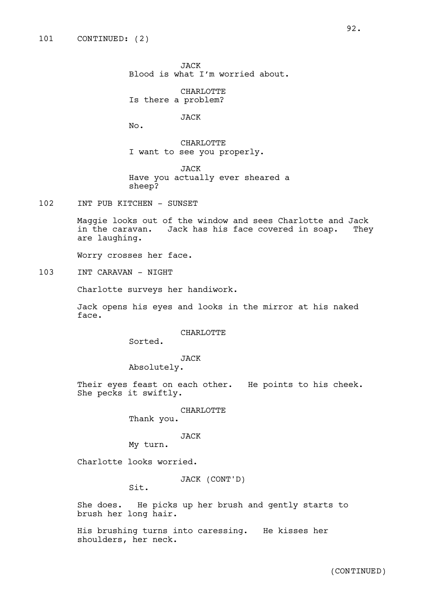JACK Blood is what I'm worried about.

CHARLOTTE Is there a problem?

JACK

No.

CHARLOTTE I want to see you properly.

JACK Have you actually ever sheared a sheep?

102 INT PUB KITCHEN - SUNSET

Maggie looks out of the window and sees Charlotte and Jack in the caravan. Jack has his face covered in soap. They are laughing.

Worry crosses her face.

103 INT CARAVAN - NIGHT

Charlotte surveys her handiwork.

Jack opens his eyes and looks in the mirror at his naked face.

CHARLOTTE

Sorted.

JACK

Absolutely.

Their eyes feast on each other. He points to his cheek. She pecks it swiftly.

CHARLOTTE

Thank you.

#### JACK

My turn.

Charlotte looks worried.

JACK (CONT'D)

Sit.

She does. He picks up her brush and gently starts to brush her long hair.

His brushing turns into caressing. He kisses her shoulders, her neck.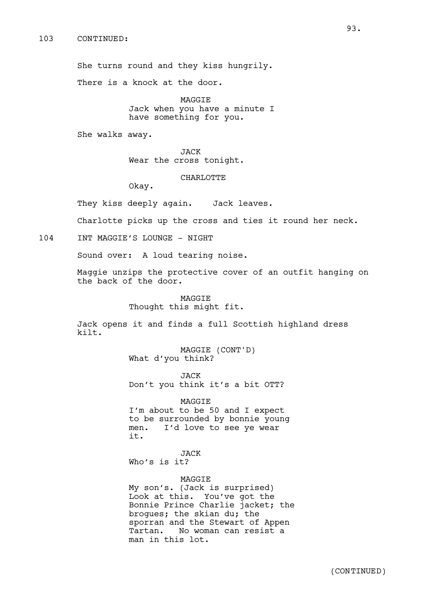She turns round and they kiss hungrily.

There is a knock at the door.

MAGGIE Jack when you have a minute I have something for you.

She walks away.

JACK Wear the cross tonight.

CHARLOTTE

Okay.

They kiss deeply again. Jack leaves.

Charlotte picks up the cross and ties it round her neck.

104 TNT MAGGIE'S LOUNGE - NIGHT

Sound over: A loud tearing noise.

Maggie unzips the protective cover of an outfit hanging on the back of the door.

> MAGGIE Thought this might fit.

Jack opens it and finds a full Scottish highland dress kilt.

> MAGGIE (CONT'D) What d'you think?

> > JACK

Don't you think it's a bit OTT?

MAGGIE

I'm about to be 50 and I expect to be surrounded by bonnie young men. I'd love to see ye wear it.

JACK Who's is it?

# MAGGIE

My son's. (Jack is surprised) Look at this. You've got the Bonnie Prince Charlie jacket; the brogues; the skian du; the sporran and the Stewart of Appen Tartan. No woman can resist a man in this lot.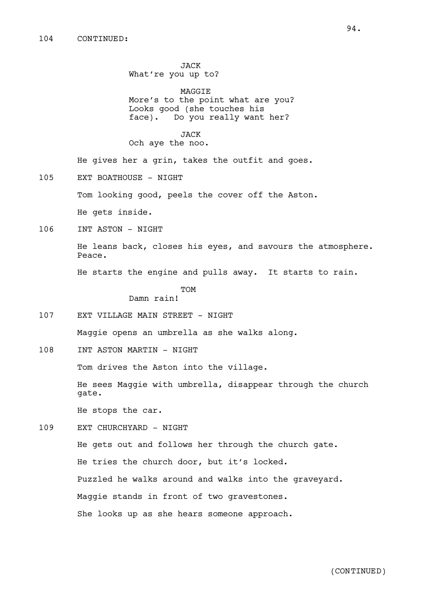JACK What're you up to?

MAGGIE More's to the point what are you? Looks good (she touches his face). Do you really want her?

JACK Och aye the noo.

He gives her a grin, takes the outfit and goes.

105 EXT BOATHOUSE - NIGHT

Tom looking good, peels the cover off the Aston.

He gets inside.

106 INT ASTON - NIGHT

He leans back, closes his eyes, and savours the atmosphere. Peace.

He starts the engine and pulls away. It starts to rain.

TOM

Damn rain!

107 EXT VILLAGE MAIN STREET - NIGHT

Maggie opens an umbrella as she walks along.

108 INT ASTON MARTIN - NIGHT

Tom drives the Aston into the village.

He sees Maggie with umbrella, disappear through the church gate.

He stops the car.

109 EXT CHURCHYARD - NIGHT

He gets out and follows her through the church gate. He tries the church door, but it's locked. Puzzled he walks around and walks into the graveyard. Maggie stands in front of two gravestones. She looks up as she hears someone approach.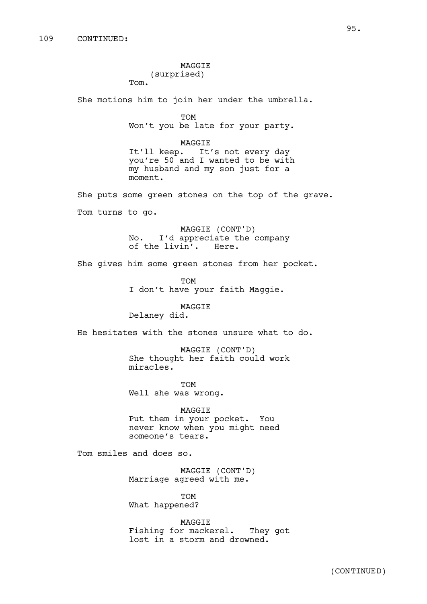MAGGIE (surprised)

Tom.

She motions him to join her under the umbrella.

```
TOM
```
Won't you be late for your party.

MAGGIE It'll keep. It's not every day you're 50 and I wanted to be with my husband and my son just for a moment.

She puts some green stones on the top of the grave. Tom turns to go.

> MAGGIE (CONT'D) No. I'd appreciate the company of the livin'. Here.

She gives him some green stones from her pocket.

TOM I don't have your faith Maggie.

MAGGIE Delaney did.

He hesitates with the stones unsure what to do.

MAGGIE (CONT'D) She thought her faith could work miracles.

TOM Well she was wrong.

MAGGIE Put them in your pocket. You never know when you might need someone's tears.

Tom smiles and does so.

MAGGIE (CONT'D) Marriage agreed with me.

TOM What happened?

MAGGIE Fishing for mackerel. They got lost in a storm and drowned.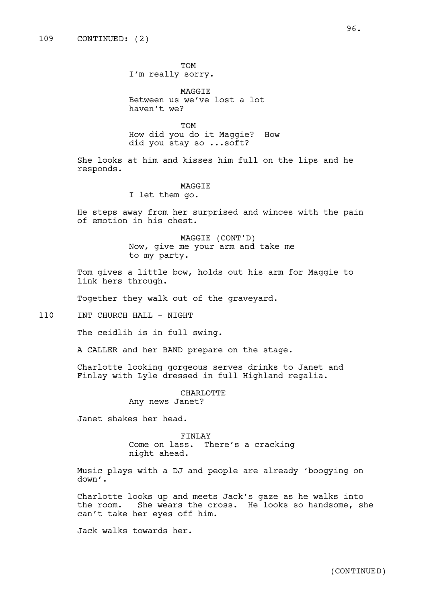TOM I'm really sorry.

MAGGIE Between us we've lost a lot haven't we?

TOM How did you do it Maggie? How did you stay so ...soft?

She looks at him and kisses him full on the lips and he responds.

#### MAGGIE

I let them go.

He steps away from her surprised and winces with the pain of emotion in his chest.

> MAGGIE (CONT'D) Now, give me your arm and take me to my party.

Tom gives a little bow, holds out his arm for Maggie to link hers through.

Together they walk out of the graveyard.

110 INT CHURCH HALL - NIGHT

The ceidlih is in full swing.

A CALLER and her BAND prepare on the stage.

Charlotte looking gorgeous serves drinks to Janet and Finlay with Lyle dressed in full Highland regalia.

> CHARLOTTE Any news Janet?

Janet shakes her head.

FINLAY Come on lass. There's a cracking

night ahead.

Music plays with a DJ and people are already 'boogying on down'.

Charlotte looks up and meets Jack's gaze as he walks into the room. She wears the cross. He looks so handsome, she can't take her eyes off him.

Jack walks towards her.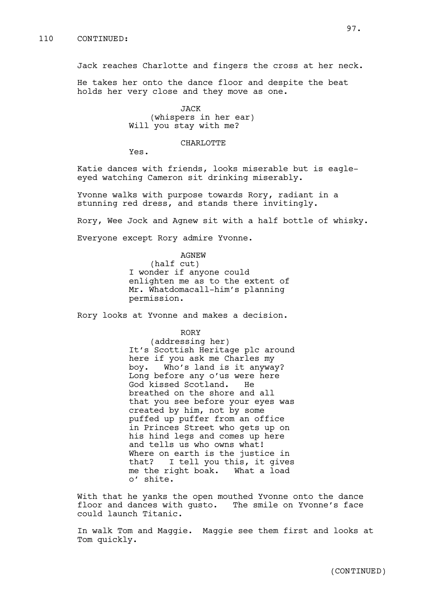Jack reaches Charlotte and fingers the cross at her neck.

He takes her onto the dance floor and despite the beat holds her very close and they move as one.

> JACK (whispers in her ear) Will you stay with me?

## CHARLOTTE

Yes.

Katie dances with friends, looks miserable but is eagleeyed watching Cameron sit drinking miserably.

Yvonne walks with purpose towards Rory, radiant in a stunning red dress, and stands there invitingly.

Rory, Wee Jock and Agnew sit with a half bottle of whisky.

Everyone except Rory admire Yvonne.

AGNEW (half cut) I wonder if anyone could enlighten me as to the extent of Mr. Whatdomacall-him's planning permission.

Rory looks at Yvonne and makes a decision.

RORY

(addressing her) It's Scottish Heritage plc around here if you ask me Charles my boy. Who's land is it anyway? Long before any o'us were here God kissed Scotland. He breathed on the shore and all that you see before your eyes was created by him, not by some puffed up puffer from an office in Princes Street who gets up on his hind legs and comes up here and tells us who owns what! Where on earth is the justice in that? I tell you this, it gives me the right boak. What a load o' shite.

With that he yanks the open mouthed Yvonne onto the dance floor and dances with gusto. The smile on Yvonne's face could launch Titanic.

In walk Tom and Maggie. Maggie see them first and looks at Tom quickly.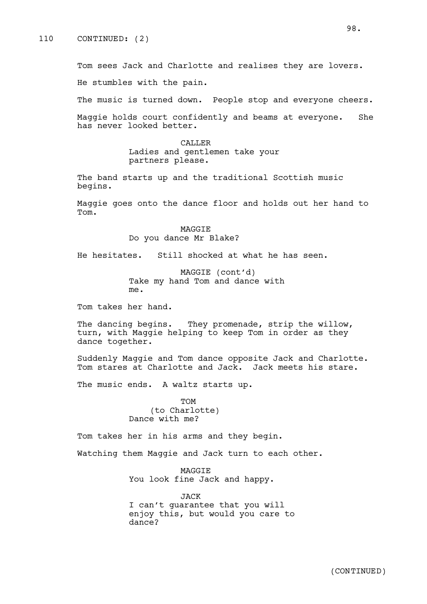Tom sees Jack and Charlotte and realises they are lovers. He stumbles with the pain.

The music is turned down. People stop and everyone cheers.

Maggie holds court confidently and beams at everyone. She has never looked better.

> CALLER Ladies and gentlemen take your partners please.

The band starts up and the traditional Scottish music begins.

Maggie goes onto the dance floor and holds out her hand to Tom.

> MAGGIE Do you dance Mr Blake?

He hesitates. Still shocked at what he has seen.

MAGGIE (cont'd) Take my hand Tom and dance with me.

Tom takes her hand.

The dancing begins. They promenade, strip the willow, turn, with Maggie helping to keep Tom in order as they dance together.

Suddenly Maggie and Tom dance opposite Jack and Charlotte. Tom stares at Charlotte and Jack. Jack meets his stare.

The music ends. A waltz starts up.

TOM (to Charlotte) Dance with me?

Tom takes her in his arms and they begin.

Watching them Maggie and Jack turn to each other.

MAGGIE You look fine Jack and happy.

JACK I can't guarantee that you will enjoy this, but would you care to dance?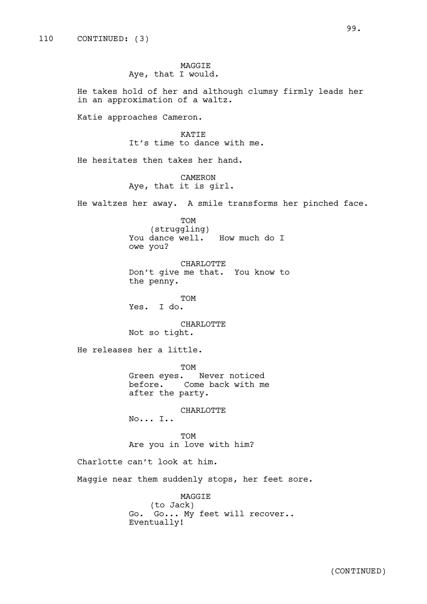MAGGIE Aye, that I would.

He takes hold of her and although clumsy firmly leads her in an approximation of a waltz.

Katie approaches Cameron.

KATIE It's time to dance with me.

He hesitates then takes her hand.

CAMERON Aye, that it is girl.

He waltzes her away. A smile transforms her pinched face.

TOM (struggling) You dance well. How much do I owe you?

CHARLOTTE Don't give me that. You know to the penny.

TOM Yes. I do.

CHARLOTTE Not so tight.

He releases her a little.

TOM Green eyes. Never noticed before. Come back with me after the party.

CHARLOTTE

No... I..

TOM Are you in love with him?

Charlotte can't look at him.

Maggie near them suddenly stops, her feet sore.

MAGGIE (to Jack) Go. Go... My feet will recover.. Eventually!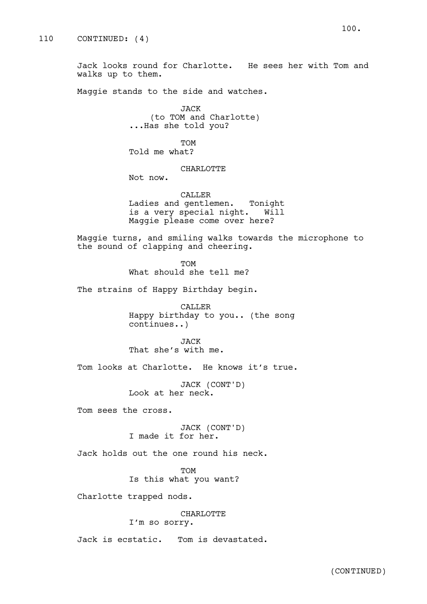Jack looks round for Charlotte. He sees her with Tom and walks up to them.

Maggie stands to the side and watches.

JACK (to TOM and Charlotte) ...Has she told you?

TOM Told me what?

### CHARLOTTE

Not now.

CALLER Ladies and gentlemen. Tonight is a very special night. Will Maggie please come over here?

Maggie turns, and smiling walks towards the microphone to the sound of clapping and cheering.

> TOM What should she tell me?

The strains of Happy Birthday begin.

CALLER Happy birthday to you.. (the song continues..)

JACK That she's with me.

Tom looks at Charlotte. He knows it's true.

JACK (CONT'D) Look at her neck.

Tom sees the cross.

JACK (CONT'D) I made it for her.

Jack holds out the one round his neck.

TOM Is this what you want?

Charlotte trapped nods.

## CHARLOTTE I'm so sorry.

Jack is ecstatic. Tom is devastated.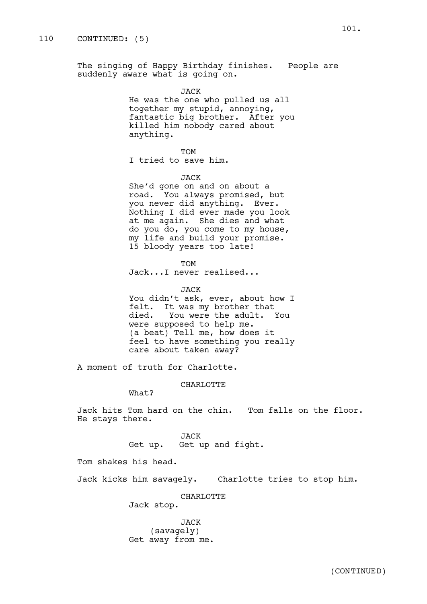The singing of Happy Birthday finishes. People are suddenly aware what is going on.

> JACK He was the one who pulled us all together my stupid, annoying, fantastic big brother. After you killed him nobody cared about anything.

TOM I tried to save him.

JACK

She'd gone on and on about a road. You always promised, but you never did anything. Ever. Nothing I did ever made you look at me again. She dies and what do you do, you come to my house, my life and build your promise. 15 bloody years too late!

TOM

Jack...I never realised...

JACK You didn't ask, ever, about how I felt. It was my brother that died. You were the adult. You were supposed to help me. (a beat) Tell me, how does it feel to have something you really care about taken away?

A moment of truth for Charlotte.

CHARLOTTE

What?

Jack hits Tom hard on the chin. Tom falls on the floor. He stays there.

JACK

Get up. Get up and fight.

Tom shakes his head.

Jack kicks him savagely. Charlotte tries to stop him.

CHARLOTTE

Jack stop.

JACK (savagely) Get away from me.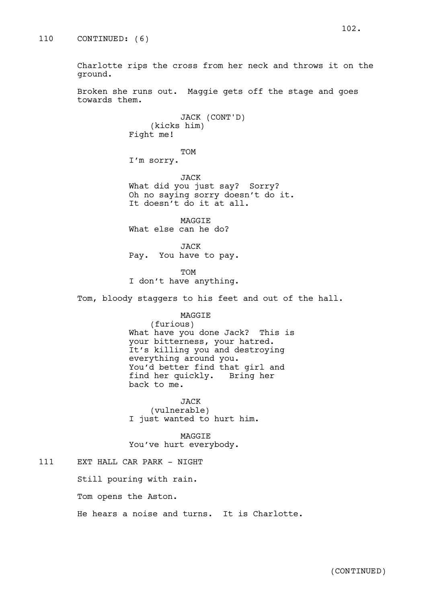ground.

Broken she runs out. Maggie gets off the stage and goes towards them.

> JACK (CONT'D) (kicks him) Fight me!

TOM I'm sorry.

JACK What did you just say? Sorry? Oh no saying sorry doesn't do it. It doesn't do it at all.

MAGGIE What else can he do?

JACK Pay. You have to pay.

TOM I don't have anything.

Tom, bloody staggers to his feet and out of the hall.

# MAGGIE

(furious) What have you done Jack? This is your bitterness, your hatred. It's killing you and destroying everything around you. You'd better find that girl and find her quickly. Bring her back to me.

JACK (vulnerable) I just wanted to hurt him.

MAGGIE You've hurt everybody.

# 111 EXT HALL CAR PARK - NIGHT

Still pouring with rain.

Tom opens the Aston.

He hears a noise and turns. It is Charlotte.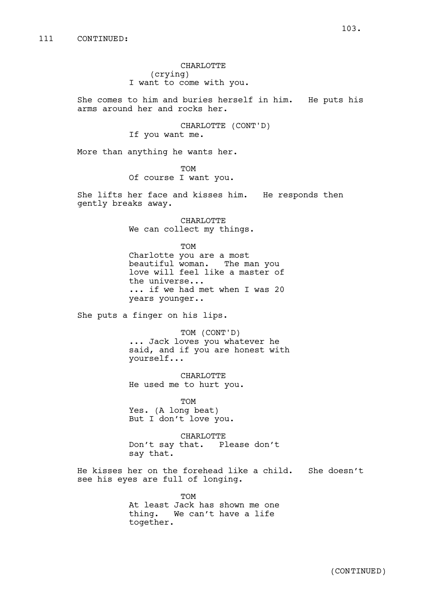CHARLOTTE (crying) I want to come with you.

She comes to him and buries herself in him. He puts his arms around her and rocks her.

> CHARLOTTE (CONT'D) If you want me.

More than anything he wants her.

TOM Of course I want you.

She lifts her face and kisses him. He responds then gently breaks away.

> CHARLOTTE We can collect my things.

> > TOM

Charlotte you are a most beautiful woman. The man you love will feel like a master of the universe... ... if we had met when I was 20 years younger..

She puts a finger on his lips.

TOM (CONT'D) ... Jack loves you whatever he said, and if you are honest with yourself...

CHARLOTTE He used me to hurt you.

TOM Yes. (A long beat) But I don't love you.

CHARLOTTE Don't say that. Please don't say that.

He kisses her on the forehead like a child. She doesn't see his eyes are full of longing.

> TOM At least Jack has shown me one thing. We can't have a life together.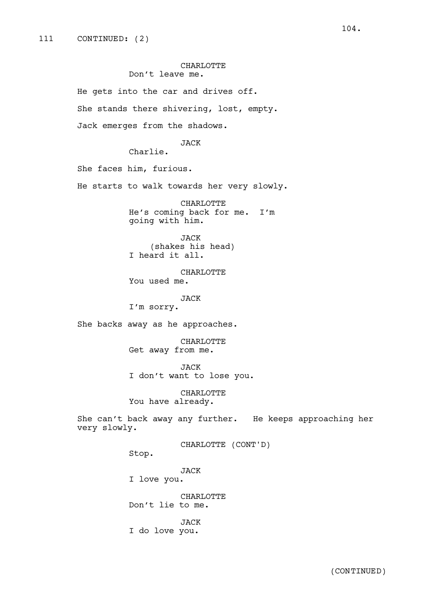### CHARLOTTE Don't leave me.

He gets into the car and drives off. She stands there shivering, lost, empty. Jack emerges from the shadows. JACK Charlie. She faces him, furious. He starts to walk towards her very slowly. CHARLOTTE He's coming back for me. I'm going with him. JACK (shakes his head) I heard it all. CHARLOTTE You used me. JACK I'm sorry. She backs away as he approaches. CHARLOTTE Get away from me. JACK I don't want to lose you. CHARLOTTE You have already. She can't back away any further. He keeps approaching her very slowly. CHARLOTTE (CONT'D) Stop. JACK I love you. CHARLOTTE Don't lie to me. JACK I do love you.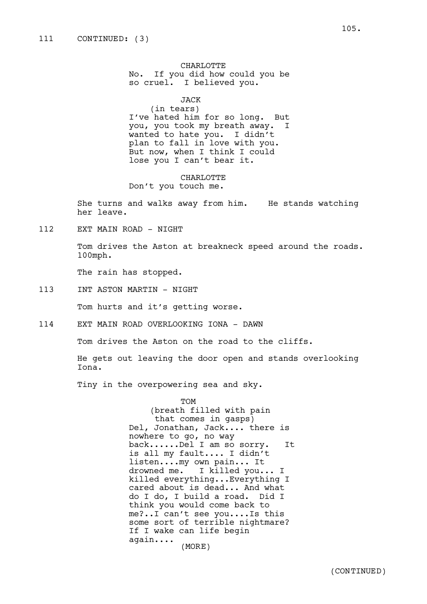CHARLOTTE No. If you did how could you be so cruel. I believed you.

JACK

(in tears) I've hated him for so long. But you, you took my breath away. I wanted to hate you. I didn't plan to fall in love with you. But now, when I think I could lose you I can't bear it.

CHARLOTTE Don't you touch me.

She turns and walks away from him. He stands watching her leave.

112 EXT MAIN ROAD - NIGHT

Tom drives the Aston at breakneck speed around the roads. 100mph.

The rain has stopped.

113 INT ASTON MARTIN - NIGHT

Tom hurts and it's getting worse.

114 EXT MAIN ROAD OVERLOOKING IONA - DAWN

Tom drives the Aston on the road to the cliffs.

He gets out leaving the door open and stands overlooking Iona.

Tiny in the overpowering sea and sky.

TOM (breath filled with pain that comes in gasps) Del, Jonathan, Jack.... there is nowhere to go, no way back......Del I am so sorry. It is all my fault.... I didn't listen....my own pain... It drowned me. I killed you... I killed everything...Everything I cared about is dead... And what do I do, I build a road. Did I think you would come back to me?..I can't see you....Is this some sort of terrible nightmare? If I wake can life begin again.... (MORE)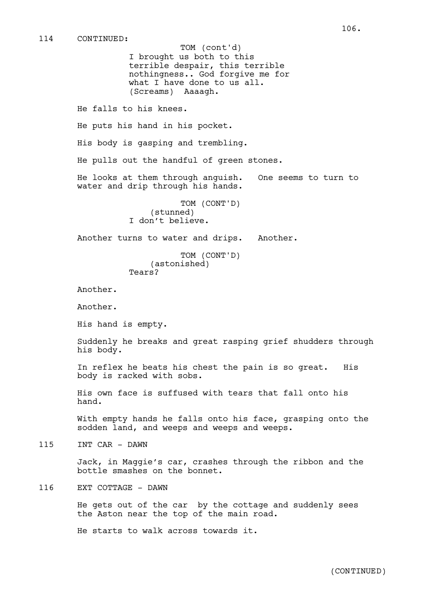I brought us both to this terrible despair, this terrible nothingness.. God forgive me for what I have done to us all. (Screams) Aaaagh. TOM (cont'd)

He falls to his knees.

He puts his hand in his pocket.

His body is gasping and trembling.

He pulls out the handful of green stones.

He looks at them through anguish. One seems to turn to water and drip through his hands.

> TOM (CONT'D) (stunned) I don't believe.

Another turns to water and drips. Another.

TOM (CONT'D) (astonished) Tears?

Another.

Another.

His hand is empty.

Suddenly he breaks and great rasping grief shudders through his body.

In reflex he beats his chest the pain is so great. His body is racked with sobs.

His own face is suffused with tears that fall onto his hand.

With empty hands he falls onto his face, grasping onto the sodden land, and weeps and weeps and weeps.

115 INT CAR - DAWN

Jack, in Maggie's car, crashes through the ribbon and the bottle smashes on the bonnet.

# 116 EXT COTTAGE - DAWN

He gets out of the car by the cottage and suddenly sees the Aston near the top of the main road.

He starts to walk across towards it.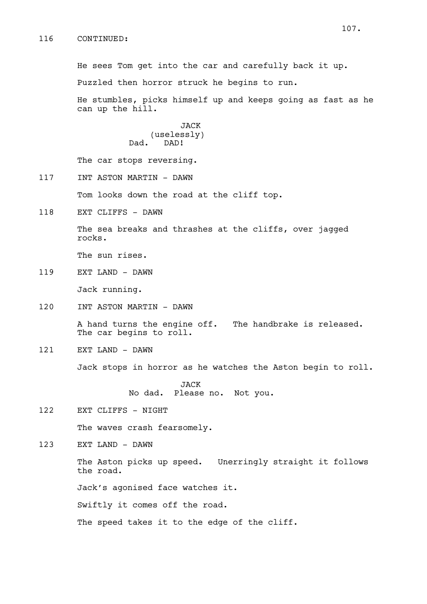He sees Tom get into the car and carefully back it up.

Puzzled then horror struck he begins to run.

He stumbles, picks himself up and keeps going as fast as he can up the hill.

> JACK (uselessly) Dad. DAD!

The car stops reversing.

117 INT ASTON MARTIN - DAWN

Tom looks down the road at the cliff top.

118 EXT CLIFFS - DAWN

The sea breaks and thrashes at the cliffs, over jagged rocks.

The sun rises.

119 EXT LAND - DAWN

Jack running.

120 INT ASTON MARTIN - DAWN

A hand turns the engine off. The handbrake is released. The car begins to roll.

121 EXT LAND - DAWN

Jack stops in horror as he watches the Aston begin to roll.

JACK No dad. Please no. Not you.

122 EXT CLIFFS - NIGHT

The waves crash fearsomely.

123 EXT LAND - DAWN

The Aston picks up speed. Unerringly straight it follows the road.

Jack's agonised face watches it.

Swiftly it comes off the road.

The speed takes it to the edge of the cliff.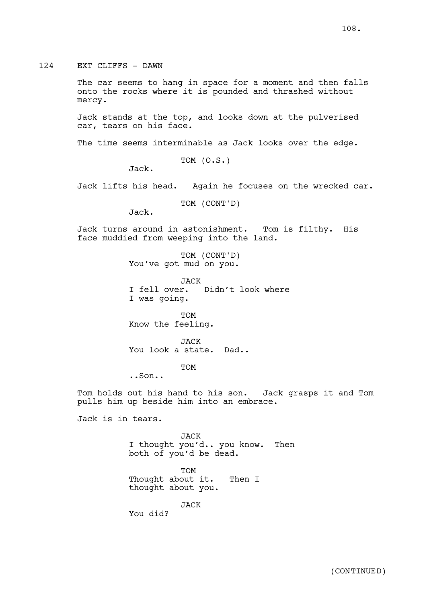124 EXT CLIFFS - DAWN

The car seems to hang in space for a moment and then falls onto the rocks where it is pounded and thrashed without mercy.

Jack stands at the top, and looks down at the pulverised car, tears on his face.

The time seems interminable as Jack looks over the edge.

TOM (O.S.)

Jack.

Jack lifts his head. Again he focuses on the wrecked car.

TOM (CONT'D)

Jack.

Jack turns around in astonishment. Tom is filthy. His face muddied from weeping into the land.

> TOM (CONT'D) You've got mud on you.

JACK I fell over. Didn't look where I was going.

TOM Know the feeling.

JACK You look a state. Dad..

TOM

..Son..

Tom holds out his hand to his son. Jack grasps it and Tom pulls him up beside him into an embrace.

Jack is in tears.

JACK I thought you'd.. you know. Then both of you'd be dead.

TOM Thought about it. Then I thought about you.

JACK

You did?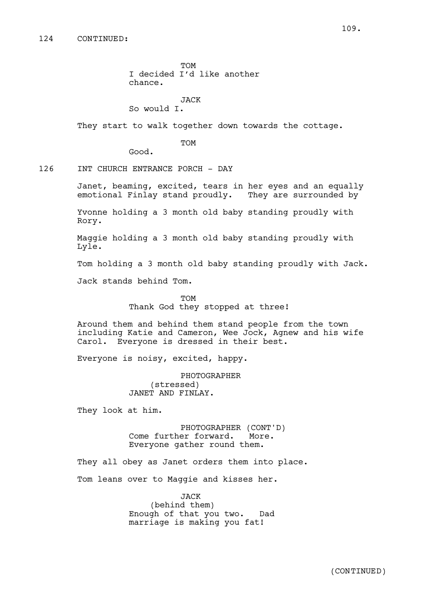TOM I decided I'd like another chance.

JACK

So would I.

They start to walk together down towards the cottage.

TOM

Good.

126 INT CHURCH ENTRANCE PORCH - DAY

Janet, beaming, excited, tears in her eyes and an equally emotional Finlay stand proudly. They are surrounded by

Yvonne holding a 3 month old baby standing proudly with Rory.

Maggie holding a 3 month old baby standing proudly with Lyle.

Tom holding a 3 month old baby standing proudly with Jack.

Jack stands behind Tom.

TOM Thank God they stopped at three!

Around them and behind them stand people from the town including Katie and Cameron, Wee Jock, Agnew and his wife Carol. Everyone is dressed in their best.

Everyone is noisy, excited, happy.

PHOTOGRAPHER (stressed) JANET AND FINLAY.

They look at him.

PHOTOGRAPHER (CONT'D) Come further forward. More. Everyone gather round them.

They all obey as Janet orders them into place.

Tom leans over to Maggie and kisses her.

JACK (behind them) Enough of that you two. Dad marriage is making you fat!